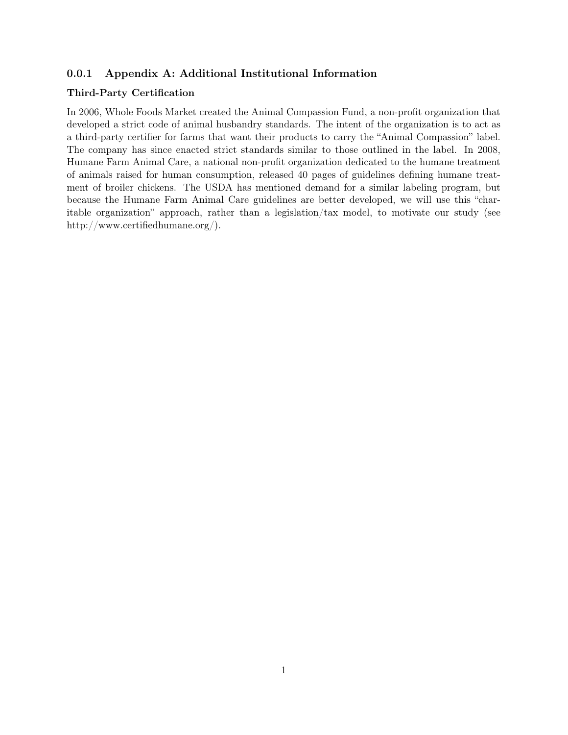## 0.0.1 Appendix A: Additional Institutional Information

## Third-Party Certification

In 2006, Whole Foods Market created the Animal Compassion Fund, a non-profit organization that developed a strict code of animal husbandry standards. The intent of the organization is to act as a third-party certifier for farms that want their products to carry the "Animal Compassion" label. The company has since enacted strict standards similar to those outlined in the label. In 2008, Humane Farm Animal Care, a national non-profit organization dedicated to the humane treatment of animals raised for human consumption, released 40 pages of guidelines defining humane treatment of broiler chickens. The USDA has mentioned demand for a similar labeling program, but because the Humane Farm Animal Care guidelines are better developed, we will use this "charitable organization" approach, rather than a legislation/tax model, to motivate our study (see http://www.certifiedhumane.org/).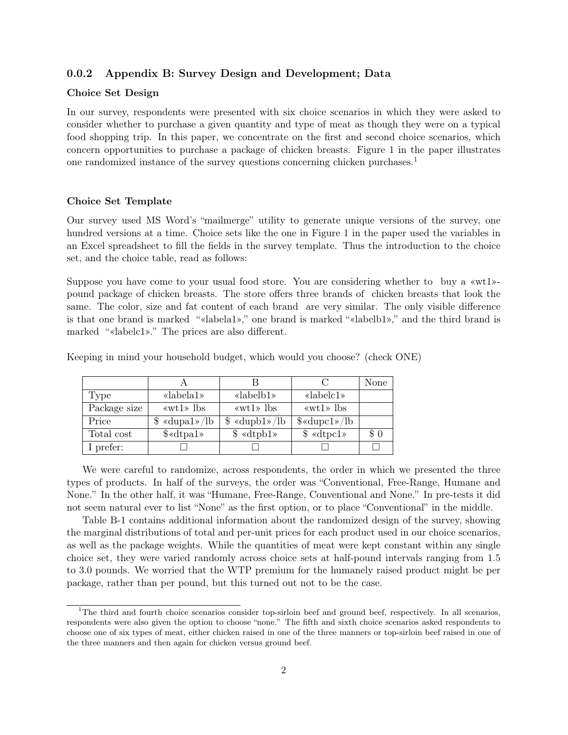## 0.0.2 Appendix B: Survey Design and Development; Data

### Choice Set Design

In our survey, respondents were presented with six choice scenarios in which they were asked to consider whether to purchase a given quantity and type of meat as though they were on a typical food shopping trip. In this paper, we concentrate on the first and second choice scenarios, which concern opportunities to purchase a package of chicken breasts. Figure 1 in the paper illustrates one randomized instance of the survey questions concerning chicken purchases.[1](#page-1-0)

### Choice Set Template

Our survey used MS Word's "mailmerge" utility to generate unique versions of the survey, one hundred versions at a time. Choice sets like the one in Figure 1 in the paper used the variables in an Excel spreadsheet to fill the fields in the survey template. Thus the introduction to the choice set, and the choice table, read as follows:

Suppose you have come to your usual food store. You are considering whether to buy a «wt1» pound package of chicken breasts. The store offers three brands of chicken breasts that look the same. The color, size and fat content of each brand are very similar. The only visible difference is that one brand is marked "«labela1»," one brand is marked "«labelb1»," and the third brand is marked "«labelc1»." The prices are also different.

|              |                                                   |                                                                                                                                                                                                                                                                                                                                                                                                                                                                                            |                                              | None |
|--------------|---------------------------------------------------|--------------------------------------------------------------------------------------------------------------------------------------------------------------------------------------------------------------------------------------------------------------------------------------------------------------------------------------------------------------------------------------------------------------------------------------------------------------------------------------------|----------------------------------------------|------|
| Type         | «labela1»                                         | «labelb1»                                                                                                                                                                                                                                                                                                                                                                                                                                                                                  | $\&$ labelc1»                                |      |
| Package size | $\langle \text{wt1} \rangle$ lbs                  | $\langle \text{wt1} \rangle$ lbs                                                                                                                                                                                                                                                                                                                                                                                                                                                           | $\langle \text{wt1} \rangle$ lbs             |      |
| Price        | $\frac{1}{2} \cdot \frac{\text{dupal}}{\text{d}}$ | $\frac{\text{d} \cdot \text{d} \cdot \text{d} \cdot \text{d} \cdot \text{d} \cdot \text{d} \cdot \text{d} \cdot \text{d} \cdot \text{d} \cdot \text{d} \cdot \text{d} \cdot \text{d} \cdot \text{d} \cdot \text{d} \cdot \text{d} \cdot \text{d} \cdot \text{d} \cdot \text{d} \cdot \text{d} \cdot \text{d} \cdot \text{d} \cdot \text{d} \cdot \text{d} \cdot \text{d} \cdot \text{d} \cdot \text{d} \cdot \text{d} \cdot \text{d} \cdot \text{d} \cdot \text{d} \cdot \text{d} \cdot \$ | $\frac{\omega}{\omega}$ $\langle$ dupc1» /lb |      |
| Total cost   | $\text{\textdegree}\xspace$                       | $\text{\$\ll dtpb1$}$                                                                                                                                                                                                                                                                                                                                                                                                                                                                      | $\frac{1}{2}$ «dtpc1»                        | \$0  |
| I prefer:    |                                                   |                                                                                                                                                                                                                                                                                                                                                                                                                                                                                            |                                              |      |

Keeping in mind your household budget, which would you choose? (check ONE)

We were careful to randomize, across respondents, the order in which we presented the three types of products. In half of the surveys, the order was "Conventional, Free-Range, Humane and None." In the other half, it was "Humane, Free-Range, Conventional and None." In pre-tests it did not seem natural ever to list "None" as the first option, or to place "Conventional" in the middle.

Table B-1 contains additional information about the randomized design of the survey, showing the marginal distributions of total and per-unit prices for each product used in our choice scenarios, as well as the package weights. While the quantities of meat were kept constant within any single choice set, they were varied randomly across choice sets at half-pound intervals ranging from 1.5 to 3.0 pounds. We worried that the WTP premium for the humanely raised product might be per package, rather than per pound, but this turned out not to be the case.

<span id="page-1-0"></span><sup>&</sup>lt;sup>1</sup>The third and fourth choice scenarios consider top-sirloin beef and ground beef, respectively. In all scenarios, respondents were also given the option to choose "none." The fifth and sixth choice scenarios asked respondents to choose one of six types of meat, either chicken raised in one of the three manners or top-sirloin beef raised in one of the three manners and then again for chicken versus ground beef.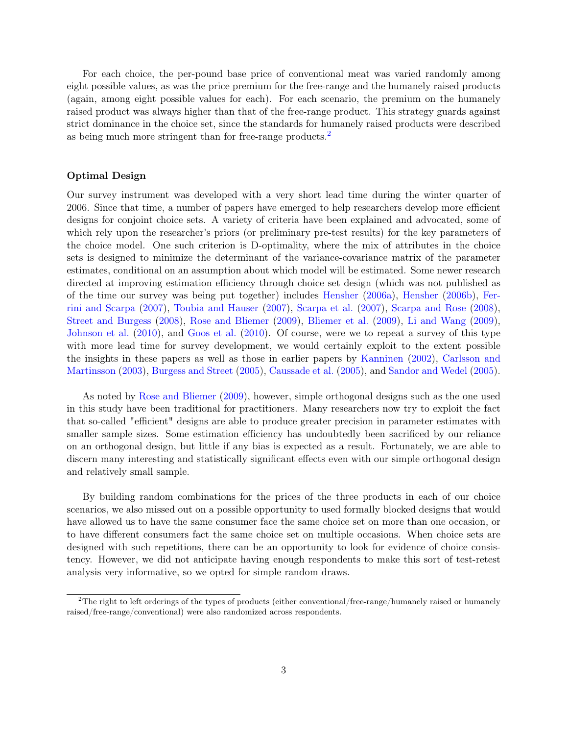For each choice, the per-pound base price of conventional meat was varied randomly among eight possible values, as was the price premium for the free-range and the humanely raised products (again, among eight possible values for each). For each scenario, the premium on the humanely raised product was always higher than that of the free-range product. This strategy guards against strict dominance in the choice set, since the standards for humanely raised products were described as being much more stringent than for free-range products.[2](#page-2-0)

### Optimal Design

Our survey instrument was developed with a very short lead time during the winter quarter of 2006. Since that time, a number of papers have emerged to help researchers develop more efficient designs for conjoint choice sets. A variety of criteria have been explained and advocated, some of which rely upon the researcher's priors (or preliminary pre-test results) for the key parameters of the choice model. One such criterion is D-optimality, where the mix of attributes in the choice sets is designed to minimize the determinant of the variance-covariance matrix of the parameter estimates, conditional on an assumption about which model will be estimated. Some newer research directed at improving estimation efficiency through choice set design (which was not published as of the time our survey was being put together) includes [Hensher](#page-20-0) [\(2006a\)](#page-20-0), [Hensher](#page-20-1) [\(2006b\)](#page-20-1), [Fer](#page-20-2)[rini and Scarpa](#page-20-2) [\(2007\)](#page-20-2), [Toubia and Hauser](#page-21-0) [\(2007\)](#page-21-0), [Scarpa et al.](#page-21-1) [\(2007\)](#page-21-1), [Scarpa and Rose](#page-21-2) [\(2008\)](#page-21-2), [Street and Burgess](#page-21-3) [\(2008\)](#page-21-3), [Rose and Bliemer](#page-20-3) [\(2009\)](#page-20-3), [Bliemer et al.](#page-20-4) [\(2009\)](#page-20-4), [Li and Wang](#page-20-5) [\(2009\)](#page-20-5), [Johnson et al.](#page-20-6) [\(2010\)](#page-20-6), and [Goos et al.](#page-20-7) [\(2010\)](#page-20-7). Of course, were we to repeat a survey of this type with more lead time for survey development, we would certainly exploit to the extent possible the insights in these papers as well as those in earlier papers by [Kanninen](#page-20-8) [\(2002\)](#page-20-8), [Carlsson and](#page-20-9) [Martinsson](#page-20-9) [\(2003\)](#page-20-9), [Burgess and Street](#page-20-10) [\(2005\)](#page-20-10), [Caussade et al.](#page-20-11) [\(2005\)](#page-20-11), and [Sandor and Wedel](#page-20-12) [\(2005\)](#page-20-12).

As noted by [Rose and Bliemer](#page-20-3) [\(2009\)](#page-20-3), however, simple orthogonal designs such as the one used in this study have been traditional for practitioners. Many researchers now try to exploit the fact that so-called "efficient" designs are able to produce greater precision in parameter estimates with smaller sample sizes. Some estimation efficiency has undoubtedly been sacrificed by our reliance on an orthogonal design, but little if any bias is expected as a result. Fortunately, we are able to discern many interesting and statistically significant effects even with our simple orthogonal design and relatively small sample.

By building random combinations for the prices of the three products in each of our choice scenarios, we also missed out on a possible opportunity to used formally blocked designs that would have allowed us to have the same consumer face the same choice set on more than one occasion, or to have different consumers fact the same choice set on multiple occasions. When choice sets are designed with such repetitions, there can be an opportunity to look for evidence of choice consistency. However, we did not anticipate having enough respondents to make this sort of test-retest analysis very informative, so we opted for simple random draws.

<span id="page-2-0"></span><sup>2</sup>The right to left orderings of the types of products (either conventional/free-range/humanely raised or humanely raised/free-range/conventional) were also randomized across respondents.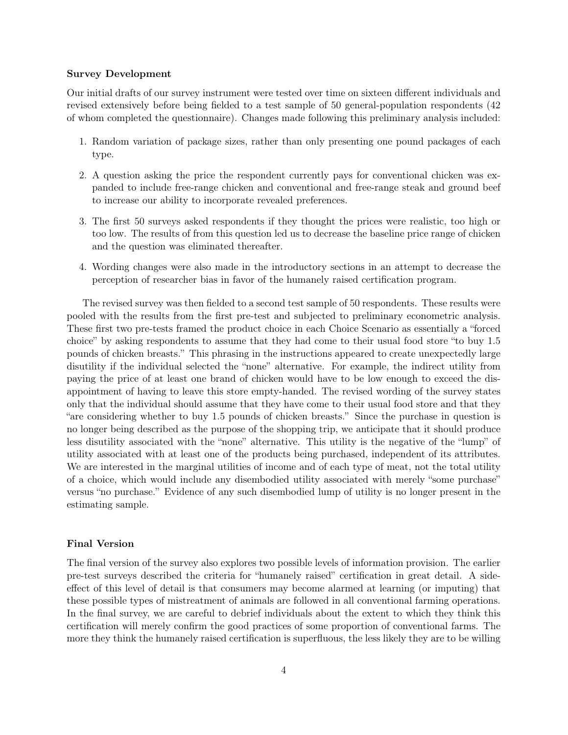### Survey Development

Our initial drafts of our survey instrument were tested over time on sixteen different individuals and revised extensively before being fielded to a test sample of 50 general-population respondents (42 of whom completed the questionnaire). Changes made following this preliminary analysis included:

- 1. Random variation of package sizes, rather than only presenting one pound packages of each type.
- 2. A question asking the price the respondent currently pays for conventional chicken was expanded to include free-range chicken and conventional and free-range steak and ground beef to increase our ability to incorporate revealed preferences.
- 3. The first 50 surveys asked respondents if they thought the prices were realistic, too high or too low. The results of from this question led us to decrease the baseline price range of chicken and the question was eliminated thereafter.
- 4. Wording changes were also made in the introductory sections in an attempt to decrease the perception of researcher bias in favor of the humanely raised certification program.

The revised survey was then fielded to a second test sample of 50 respondents. These results were pooled with the results from the first pre-test and subjected to preliminary econometric analysis. These first two pre-tests framed the product choice in each Choice Scenario as essentially a "forced choice" by asking respondents to assume that they had come to their usual food store "to buy 1.5 pounds of chicken breasts." This phrasing in the instructions appeared to create unexpectedly large disutility if the individual selected the "none" alternative. For example, the indirect utility from paying the price of at least one brand of chicken would have to be low enough to exceed the disappointment of having to leave this store empty-handed. The revised wording of the survey states only that the individual should assume that they have come to their usual food store and that they "are considering whether to buy 1.5 pounds of chicken breasts." Since the purchase in question is no longer being described as the purpose of the shopping trip, we anticipate that it should produce less disutility associated with the "none" alternative. This utility is the negative of the "lump" of utility associated with at least one of the products being purchased, independent of its attributes. We are interested in the marginal utilities of income and of each type of meat, not the total utility of a choice, which would include any disembodied utility associated with merely "some purchase" versus "no purchase." Evidence of any such disembodied lump of utility is no longer present in the estimating sample.

## Final Version

The final version of the survey also explores two possible levels of information provision. The earlier pre-test surveys described the criteria for "humanely raised" certification in great detail. A sideeffect of this level of detail is that consumers may become alarmed at learning (or imputing) that these possible types of mistreatment of animals are followed in all conventional farming operations. In the final survey, we are careful to debrief individuals about the extent to which they think this certification will merely confirm the good practices of some proportion of conventional farms. The more they think the humanely raised certification is superfluous, the less likely they are to be willing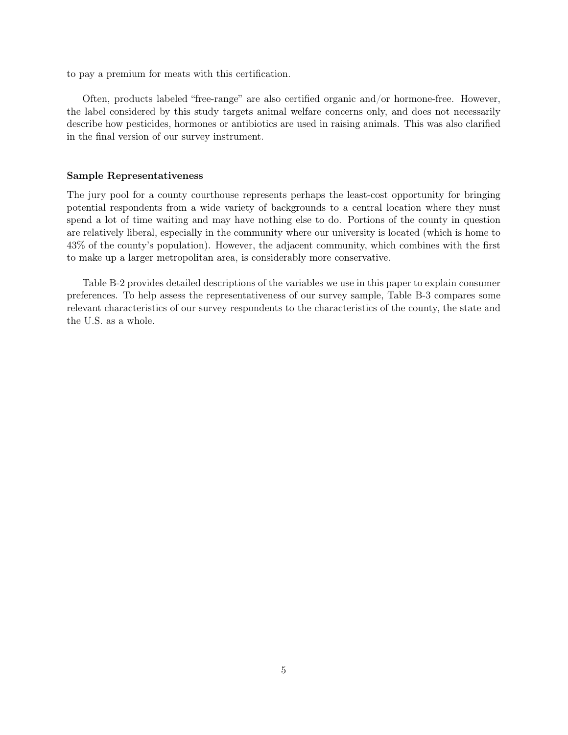to pay a premium for meats with this certification.

Often, products labeled "free-range" are also certified organic and/or hormone-free. However, the label considered by this study targets animal welfare concerns only, and does not necessarily describe how pesticides, hormones or antibiotics are used in raising animals. This was also clarified in the final version of our survey instrument.

### Sample Representativeness

The jury pool for a county courthouse represents perhaps the least-cost opportunity for bringing potential respondents from a wide variety of backgrounds to a central location where they must spend a lot of time waiting and may have nothing else to do. Portions of the county in question are relatively liberal, especially in the community where our university is located (which is home to 43% of the county's population). However, the adjacent community, which combines with the first to make up a larger metropolitan area, is considerably more conservative.

Table B-2 provides detailed descriptions of the variables we use in this paper to explain consumer preferences. To help assess the representativeness of our survey sample, Table B-3 compares some relevant characteristics of our survey respondents to the characteristics of the county, the state and the U.S. as a whole.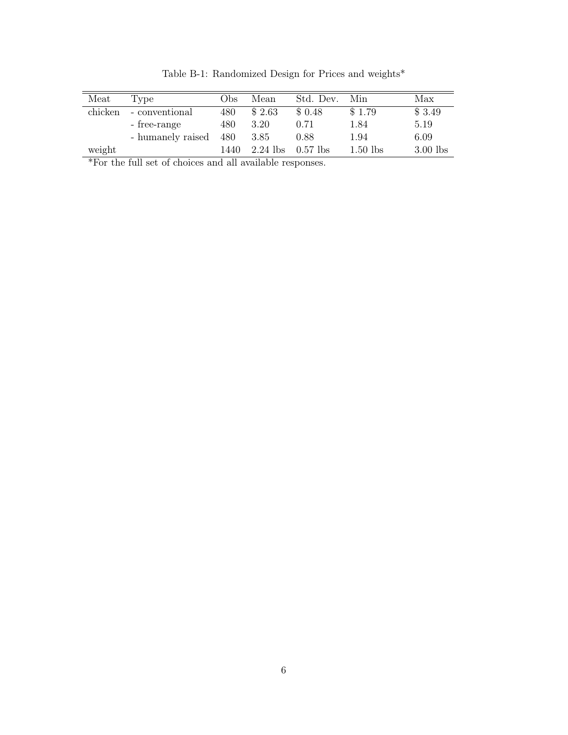| Meat    | Type              | Obs  | Mean       | Std. Dev.  | Min        | Max        |
|---------|-------------------|------|------------|------------|------------|------------|
| chicken | - conventional    | 480  | \$2.63     | \$0.48     | \$1.79     | \$3.49     |
|         | - free-range      | 480  | 3.20       | 0.71       | 1.84       | 5.19       |
|         | - humanely raised | 480  | 3.85       | 0.88       | 1.94       | 6.09       |
| weight  |                   | 1440 | $2.24$ lbs | $0.57$ lbs | $1.50$ lbs | $3.00$ lbs |
|         |                   |      |            |            |            |            |

Table B-1: Randomized Design for Prices and weights<br>\*  $\,$ 

\*For the full set of choices and all available responses.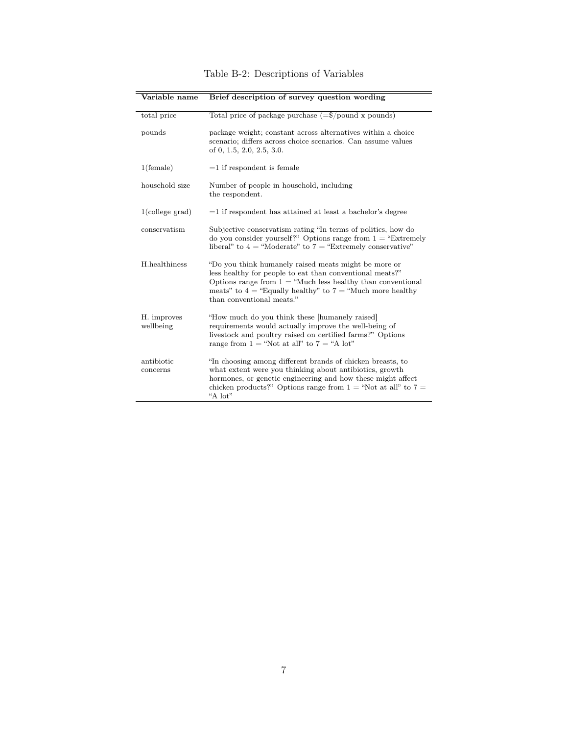| Variable name            | Brief description of survey question wording                                                                                                                                                                                                                                      |
|--------------------------|-----------------------------------------------------------------------------------------------------------------------------------------------------------------------------------------------------------------------------------------------------------------------------------|
| total price              | Total price of package purchase $(=\frac{6}{9}$ /pound x pounds)                                                                                                                                                                                                                  |
| pounds                   | package weight; constant across alternatives within a choice<br>scenario; differs across choice scenarios. Can assume values<br>of $0, 1.5, 2.0, 2.5, 3.0$ .                                                                                                                      |
| $1$ (female)             | $=1$ if respondent is female                                                                                                                                                                                                                                                      |
| household size           | Number of people in household, including<br>the respondent.                                                                                                                                                                                                                       |
| $1$ (college grad)       | $=$ 1 if respondent has attained at least a bachelor's degree                                                                                                                                                                                                                     |
| conservatism             | Subjective conservatism rating "In terms of politics, how do<br>do you consider yourself?" Options range from $1 =$ "Extremely"<br>liberal" to $4$ = "Moderate" to $7$ = "Extremely conservative"                                                                                 |
| H.healthiness            | "Do you think humanely raised meats might be more or<br>less healthy for people to eat than conventional meats?"<br>Options range from $1 =$ "Much less healthy than conventional"<br>meats" to $4$ = "Equally healthy" to $7$ = "Much more healthy"<br>than conventional meats." |
| H. improves<br>wellbeing | "How much do you think these [humanely raised]<br>requirements would actually improve the well-being of<br>livestock and poultry raised on certified farms?" Options<br>range from $1 =$ "Not at all" to $7 =$ "A lot"                                                            |
| antibiotic<br>concerns   | "In choosing among different brands of chicken breasts, to<br>what extent were you thinking about antibiotics, growth<br>hormones, or genetic engineering and how these might affect<br>chicken products?" Options range from $1 =$ "Not at all" to $7 =$<br>"A lot"              |

Table B-2: Descriptions of Variables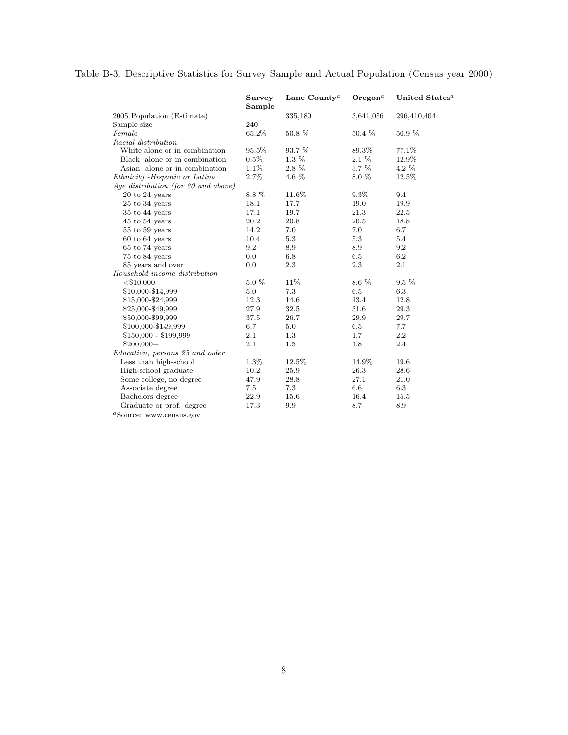|                                     | <b>Survey</b> | Lane County <sup><math>a</math></sup> | $O$ regon <sup>a</sup> | United States <sup>a</sup> |
|-------------------------------------|---------------|---------------------------------------|------------------------|----------------------------|
|                                     | Sample        |                                       |                        |                            |
| 2005 Population (Estimate)          |               | 335,180                               | 3,641,056              | 296,410,404                |
| Sample size                         | 240           |                                       |                        |                            |
| Female                              | 65.2%         | 50.8 %                                | 50.4 %                 | 50.9 %                     |
| Racial distribution                 |               |                                       |                        |                            |
| White alone or in combination       | 95.5%         | 93.7 %                                | 89.3%                  | 77.1%                      |
| Black alone or in combination       | $0.5\%$       | $1.3\%$                               | $2.1\%$                | 12.9%                      |
| Asian alone or in combination       | 1.1\%         | 2.8 %                                 | $3.7\%$                | $4.2\%$                    |
| Ethnicity - Hispanic or Latino      | 2.7%          | 4.6 %                                 | 8.0 %                  | 12.5%                      |
| Age distribution (for 20 and above) |               |                                       |                        |                            |
| $20$ to $24$ years                  | 8.8 %         | 11.6%                                 | $9.3\%$                | 9.4                        |
| $25$ to $34$ years                  | 18.1          | 17.7                                  | 19.0                   | 19.9                       |
| 35 to 44 years                      | 17.1          | 19.7                                  | 21.3                   | 22.5                       |
| $45$ to $54$ years                  | 20.2          | 20.8                                  | 20.5                   | 18.8                       |
| $55$ to $59$ years                  | 14.2          | 7.0                                   | 7.0                    | 6.7                        |
| $60$ to $64$ years                  | 10.4          | 5.3                                   | 5.3                    | 5.4                        |
| $65$ to $74$ years                  | 9.2           | 8.9                                   | 8.9                    | 9.2                        |
| 75 to 84 years                      | 0.0           | 6.8                                   | $6.5\,$                | 6.2                        |
| 85 years and over                   | 0.0           | 2.3                                   | 2.3                    | 2.1                        |
| Household income distribution       |               |                                       |                        |                            |
| $<$ \$10,000                        | 5.0 %         | 11%                                   | $8.6~\%$               | $9.5\%$                    |
| \$10,000-\$14,999                   | 5.0           | 7.3                                   | 6.5                    | 6.3                        |
| \$15,000-\$24,999                   | 12.3          | 14.6                                  | 13.4                   | 12.8                       |
| \$25,000-\$49,999                   | 27.9          | 32.5                                  | 31.6                   | 29.3                       |
| \$50,000-\$99,999                   | 37.5          | 26.7                                  | 29.9                   | 29.7                       |
| \$100,000-\$149,999                 | 6.7           | 5.0                                   | $6.5\,$                | 7.7                        |
| $$150,000 - $199,999$               | 2.1           | 1.3                                   | 1.7                    | 2.2                        |
| $$200,000+$                         | 2.1           | 1.5                                   | 1.8                    | 2.4                        |
| Education, persons 25 and older     |               |                                       |                        |                            |
| Less than high-school               | 1.3%          | 12.5%                                 | 14.9%                  | 19.6                       |
| High-school graduate                | 10.2          | 25.9                                  | 26.3                   | 28.6                       |
| Some college, no degree             | 47.9          | 28.8                                  | 27.1                   | 21.0                       |
| Associate degree                    | 7.5           | 7.3                                   | 6.6                    | 6.3                        |
| Bachelors degree                    | 22.9          | 15.6                                  | 16.4                   | 15.5                       |
| Graduate or prof. degree            | 17.3          | 9.9                                   | 8.7                    | 8.9                        |

Table B-3: Descriptive Statistics for Survey Sample and Actual Population (Census year 2000)

<sup>a</sup>Source: www.census.gov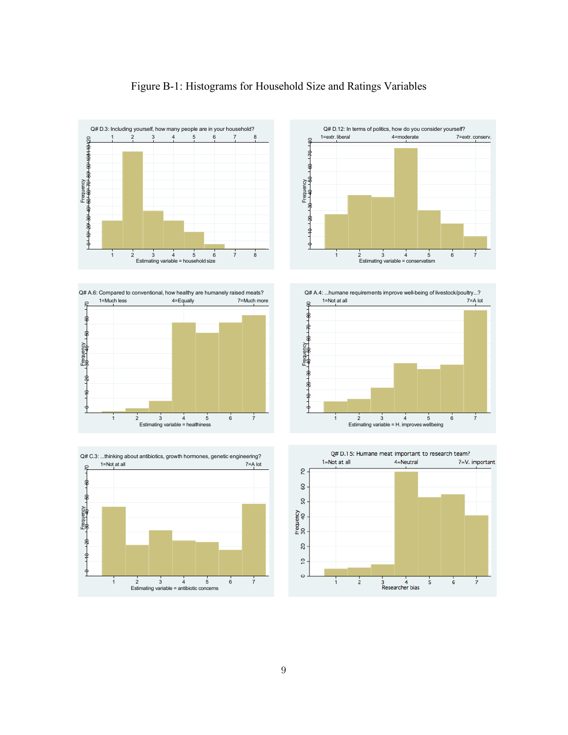

## Figure B-1: Histograms for Household Size and Ratings Variables









Q# A.4: ...humane requirements improve well-being of livestock/poultry...?



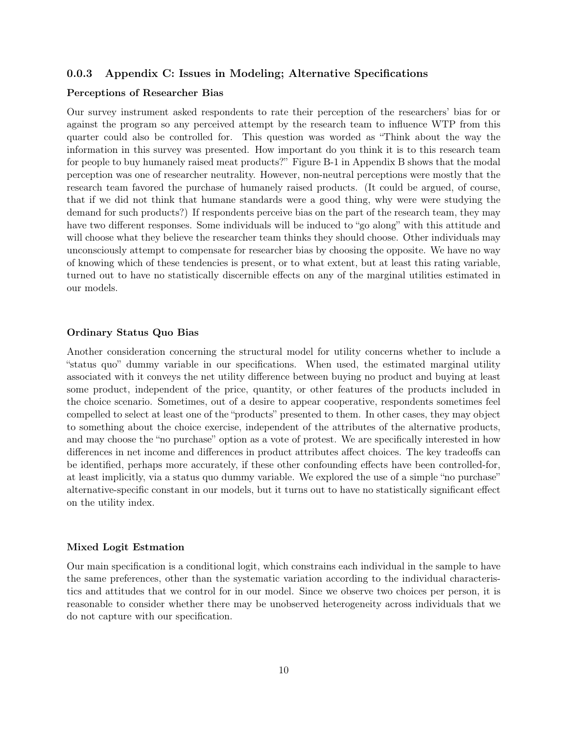## 0.0.3 Appendix C: Issues in Modeling; Alternative Specifications

### Perceptions of Researcher Bias

Our survey instrument asked respondents to rate their perception of the researchers' bias for or against the program so any perceived attempt by the research team to influence WTP from this quarter could also be controlled for. This question was worded as "Think about the way the information in this survey was presented. How important do you think it is to this research team for people to buy humanely raised meat products?" Figure B-1 in Appendix B shows that the modal perception was one of researcher neutrality. However, non-neutral perceptions were mostly that the research team favored the purchase of humanely raised products. (It could be argued, of course, that if we did not think that humane standards were a good thing, why were were studying the demand for such products?) If respondents perceive bias on the part of the research team, they may have two different responses. Some individuals will be induced to "go along" with this attitude and will choose what they believe the researcher team thinks they should choose. Other individuals may unconsciously attempt to compensate for researcher bias by choosing the opposite. We have no way of knowing which of these tendencies is present, or to what extent, but at least this rating variable, turned out to have no statistically discernible effects on any of the marginal utilities estimated in our models.

### Ordinary Status Quo Bias

Another consideration concerning the structural model for utility concerns whether to include a "status quo" dummy variable in our specifications. When used, the estimated marginal utility associated with it conveys the net utility difference between buying no product and buying at least some product, independent of the price, quantity, or other features of the products included in the choice scenario. Sometimes, out of a desire to appear cooperative, respondents sometimes feel compelled to select at least one of the "products" presented to them. In other cases, they may object to something about the choice exercise, independent of the attributes of the alternative products, and may choose the "no purchase" option as a vote of protest. We are specifically interested in how differences in net income and differences in product attributes affect choices. The key tradeoffs can be identified, perhaps more accurately, if these other confounding effects have been controlled-for, at least implicitly, via a status quo dummy variable. We explored the use of a simple "no purchase" alternative-specific constant in our models, but it turns out to have no statistically significant effect on the utility index.

### Mixed Logit Estmation

Our main specification is a conditional logit, which constrains each individual in the sample to have the same preferences, other than the systematic variation according to the individual characteristics and attitudes that we control for in our model. Since we observe two choices per person, it is reasonable to consider whether there may be unobserved heterogeneity across individuals that we do not capture with our specification.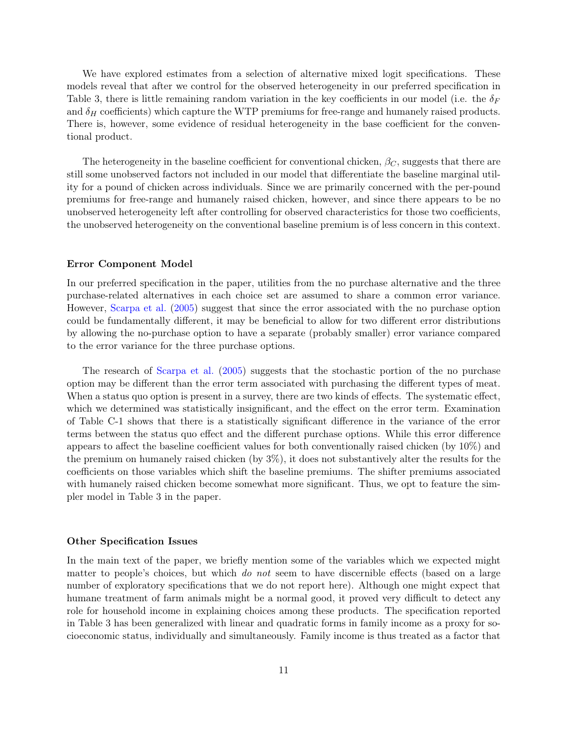We have explored estimates from a selection of alternative mixed logit specifications. These models reveal that after we control for the observed heterogeneity in our preferred specification in Table 3, there is little remaining random variation in the key coefficients in our model (i.e. the  $\delta_F$ and  $\delta_H$  coefficients) which capture the WTP premiums for free-range and humanely raised products. There is, however, some evidence of residual heterogeneity in the base coefficient for the conventional product.

The heterogeneity in the baseline coefficient for conventional chicken,  $\beta_C$ , suggests that there are still some unobserved factors not included in our model that differentiate the baseline marginal utility for a pound of chicken across individuals. Since we are primarily concerned with the per-pound premiums for free-range and humanely raised chicken, however, and since there appears to be no unobserved heterogeneity left after controlling for observed characteristics for those two coefficients, the unobserved heterogeneity on the conventional baseline premium is of less concern in this context.

### Error Component Model

In our preferred specification in the paper, utilities from the no purchase alternative and the three purchase-related alternatives in each choice set are assumed to share a common error variance. However, [Scarpa et al.](#page-21-4) [\(2005\)](#page-21-4) suggest that since the error associated with the no purchase option could be fundamentally different, it may be beneficial to allow for two different error distributions by allowing the no-purchase option to have a separate (probably smaller) error variance compared to the error variance for the three purchase options.

The research of [Scarpa et al.](#page-21-4) [\(2005\)](#page-21-4) suggests that the stochastic portion of the no purchase option may be different than the error term associated with purchasing the different types of meat. When a status quo option is present in a survey, there are two kinds of effects. The systematic effect, which we determined was statistically insignificant, and the effect on the error term. Examination of Table C-1 shows that there is a statistically significant difference in the variance of the error terms between the status quo effect and the different purchase options. While this error difference appears to affect the baseline coefficient values for both conventionally raised chicken (by 10%) and the premium on humanely raised chicken (by 3%), it does not substantively alter the results for the coefficients on those variables which shift the baseline premiums. The shifter premiums associated with humanely raised chicken become somewhat more significant. Thus, we opt to feature the simpler model in Table 3 in the paper.

#### Other Specification Issues

In the main text of the paper, we briefly mention some of the variables which we expected might matter to people's choices, but which *do not* seem to have discernible effects (based on a large number of exploratory specifications that we do not report here). Although one might expect that humane treatment of farm animals might be a normal good, it proved very difficult to detect any role for household income in explaining choices among these products. The specification reported in Table 3 has been generalized with linear and quadratic forms in family income as a proxy for socioeconomic status, individually and simultaneously. Family income is thus treated as a factor that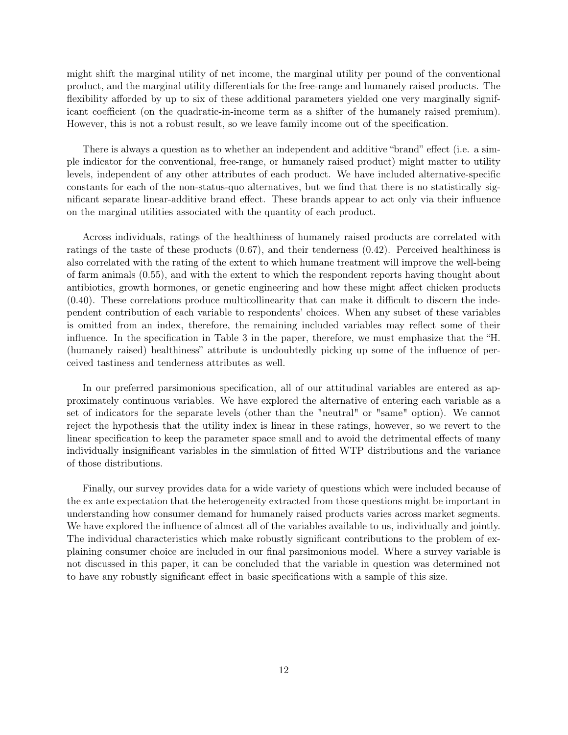might shift the marginal utility of net income, the marginal utility per pound of the conventional product, and the marginal utility differentials for the free-range and humanely raised products. The flexibility afforded by up to six of these additional parameters yielded one very marginally significant coefficient (on the quadratic-in-income term as a shifter of the humanely raised premium). However, this is not a robust result, so we leave family income out of the specification.

There is always a question as to whether an independent and additive "brand" effect (i.e. a simple indicator for the conventional, free-range, or humanely raised product) might matter to utility levels, independent of any other attributes of each product. We have included alternative-specific constants for each of the non-status-quo alternatives, but we find that there is no statistically significant separate linear-additive brand effect. These brands appear to act only via their influence on the marginal utilities associated with the quantity of each product.

Across individuals, ratings of the healthiness of humanely raised products are correlated with ratings of the taste of these products (0.67), and their tenderness (0.42). Perceived healthiness is also correlated with the rating of the extent to which humane treatment will improve the well-being of farm animals (0.55), and with the extent to which the respondent reports having thought about antibiotics, growth hormones, or genetic engineering and how these might affect chicken products (0.40). These correlations produce multicollinearity that can make it difficult to discern the independent contribution of each variable to respondents' choices. When any subset of these variables is omitted from an index, therefore, the remaining included variables may reflect some of their influence. In the specification in Table 3 in the paper, therefore, we must emphasize that the "H. (humanely raised) healthiness" attribute is undoubtedly picking up some of the influence of perceived tastiness and tenderness attributes as well.

In our preferred parsimonious specification, all of our attitudinal variables are entered as approximately continuous variables. We have explored the alternative of entering each variable as a set of indicators for the separate levels (other than the "neutral" or "same" option). We cannot reject the hypothesis that the utility index is linear in these ratings, however, so we revert to the linear specification to keep the parameter space small and to avoid the detrimental effects of many individually insignificant variables in the simulation of fitted WTP distributions and the variance of those distributions.

Finally, our survey provides data for a wide variety of questions which were included because of the ex ante expectation that the heterogeneity extracted from those questions might be important in understanding how consumer demand for humanely raised products varies across market segments. We have explored the influence of almost all of the variables available to us, individually and jointly. The individual characteristics which make robustly significant contributions to the problem of explaining consumer choice are included in our final parsimonious model. Where a survey variable is not discussed in this paper, it can be concluded that the variable in question was determined not to have any robustly significant effect in basic specifications with a sample of this size.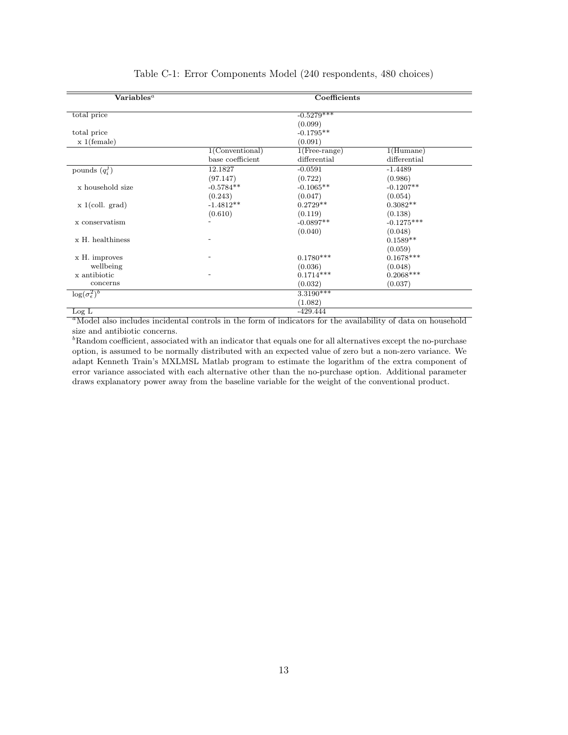| $\overline{\text{Variables}^a}$ |                    | Coefficients     |              |
|---------------------------------|--------------------|------------------|--------------|
| total price                     |                    | $-0.5279***$     |              |
|                                 |                    | (0.099)          |              |
| total price                     |                    | $-0.1795**$      |              |
| $x 1$ (female)                  |                    | (0.091)          |              |
|                                 | $1$ (Conventional) | $1$ (Free-range) | 1(Human)     |
|                                 | base coefficient   | differential     | differential |
| pounds $(q_i^j)$                | 12.1827            | $-0.0591$        | $-1.4489$    |
|                                 | (97.147)           | (0.722)          | (0.986)      |
| x household size                | $-0.5784**$        | $-0.1065**$      | $-0.1207**$  |
|                                 | (0.243)            | (0.047)          | (0.054)      |
| $x \text{1}(\text{coll. grad})$ | $-1.4812**$        | $0.2729**$       | $0.3082**$   |
|                                 | (0.610)            | (0.119)          | (0.138)      |
| x conservatism                  |                    | $-0.0897**$      | $-0.1275***$ |
|                                 |                    | (0.040)          | (0.048)      |
| x H. healthiness                |                    |                  | $0.1589**$   |
|                                 |                    |                  | (0.059)      |
| x H. improves                   |                    | $0.1780***$      | $0.1678***$  |
| wellbeing                       |                    | (0.036)          | (0.048)      |
| x antibiotic                    |                    | $0.1714***$      | $0.2068***$  |
| concerns                        |                    | (0.032)          | (0.037)      |
| $\log(\sigma_{\epsilon}^2)^b$   |                    | $3.3190***$      |              |
|                                 |                    | (1.082)          |              |
| Log L                           |                    | -429.444         |              |

## Table C-1: Error Components Model (240 respondents, 480 choices)

<sup>a</sup>Model also includes incidental controls in the form of indicators for the availability of data on household size and antibiotic concerns.

 ${}^{b}$ Random coefficient, associated with an indicator that equals one for all alternatives except the no-purchase option, is assumed to be normally distributed with an expected value of zero but a non-zero variance. We adapt Kenneth Train's MXLMSL Matlab program to estimate the logarithm of the extra component of error variance associated with each alternative other than the no-purchase option. Additional parameter draws explanatory power away from the baseline variable for the weight of the conventional product.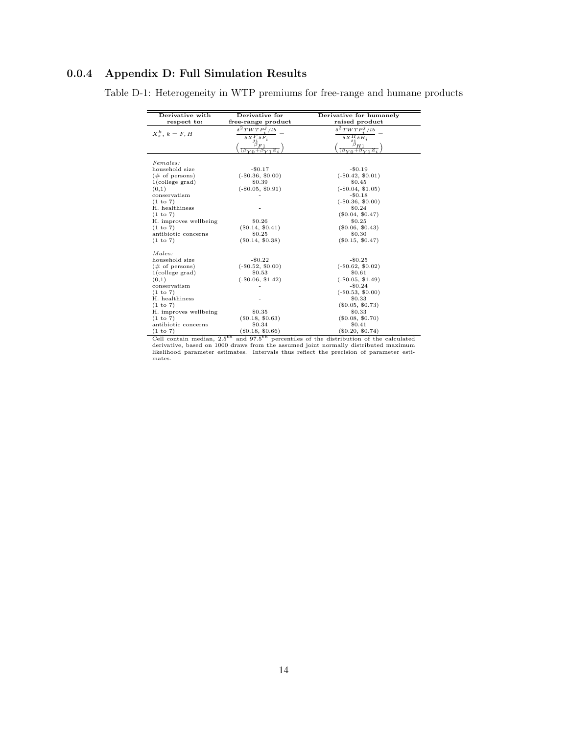## 0.0.4 Appendix D: Full Simulation Results

| Derivative with<br>respect to: | Derivative for<br>free-range product     | Derivative for humanely<br>raised product   |
|--------------------------------|------------------------------------------|---------------------------------------------|
|                                | $\delta^2 T W T P^j / l b$               | $\delta^2 T W T P^j / l b$                  |
| $X^k_{\circ}$ , $k = F, H$     | $\delta X^F_{ji}\delta F_i$              | $\delta X_{si}^H \delta H_i$                |
|                                | $\beta_{F1}$<br>$(\beta_{V0}+\beta_{V})$ | $\frac{\beta_{H1}}{(\beta_{Y0}+\beta_{Y})}$ |
| Females:                       |                                          |                                             |
| household size                 | $-\$0.17$                                | $-\$0.19$                                   |
| $(\# \text{ of persons})$      | $(-\$0.36, \$0.00)$                      | $(-\$0.42, \$0.01)$                         |
| $1$ (college grad)             | \$0.39                                   | \$0.45                                      |
| (0,1)                          | $(-\$0.05, \$0.91)$                      | $(-\$0.04, \$1.05)$                         |
| conservatism                   |                                          | $-$0.18$                                    |
| (1 to 7)                       |                                          | $(-\$0.36, \$0.00)$                         |
| H. healthiness                 |                                          | \$0.24                                      |
| (1 to 7)                       |                                          | $(\$0.04, \$0.47)$                          |
| H. improves wellbeing          | \$0.26                                   | \$0.25                                      |
| (1 to 7)                       | $(\$0.14, \$0.41)$                       | $(\$0.06, \$0.43)$                          |
| antibiotic concerns            | \$0.25                                   | \$0.30                                      |
| (1 to 7)                       | $(\$0.14, \$0.38)$                       | $(\$0.15, \$0.47)$                          |
| Males:                         |                                          |                                             |
| household size                 | $-$0.22$                                 | $-$0.25$                                    |
| $(\# \text{ of persons})$      | $(-\$0.52, \$0.00)$                      | $(-\$0.62, \$0.02)$                         |
| $1$ (college grad)             | \$0.53                                   | \$0.61                                      |
| (0,1)                          | $(-\$0.06, \$1.42)$                      | $(-\$0.05, \$1.49)$                         |
| conservatism                   |                                          | $-\$0.24$                                   |
| (1 to 7)                       |                                          | $(-\$0.53, \$0.00)$                         |
| H. healthiness                 |                                          | \$0.33                                      |
| (1 to 7)                       |                                          | $(\$0.05, \$0.73)$                          |
| H. improves wellbeing          | \$0.35                                   | \$0.33                                      |
| (1 to 7)                       | $(\$0.18, \$0.63)$                       | $(\$0.08, \$0.70)$                          |
| antibiotic concerns            | \$0.34                                   | \$0.41                                      |
| (1 to 7)                       | $(\$0.18, \$0.66)$                       | $(\$0.20, \$0.74)$                          |

Table D-1: Heterogeneity in WTP premiums for free-range and humane products

(1 to 7) (\$0.18, \$0.66) (\$0.20, \$0.74)<br>Cell contain median,  $2.5^{\text{th}}$  and  $97.5^{\text{th}}$  percentiles of the distribution of the calculated<br>derivative, based on 1000 draws from the assumed joint normally distributed maximu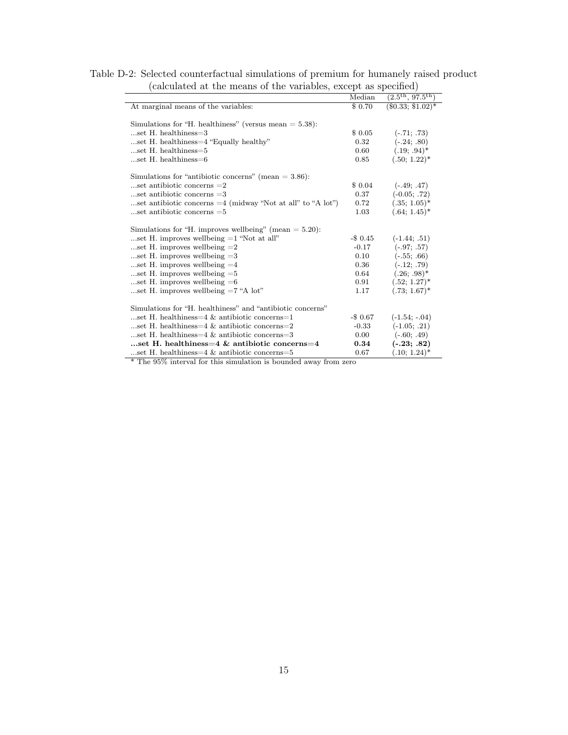| Table D-2: Selected counterfactual simulations of premium for humanely raised product |  |  |  |                                                                 |  |
|---------------------------------------------------------------------------------------|--|--|--|-----------------------------------------------------------------|--|
|                                                                                       |  |  |  | (calculated at the means of the variables, except as specified) |  |

| (calculated at the means of the variables, except as specified) |             |                                       |  |  |
|-----------------------------------------------------------------|-------------|---------------------------------------|--|--|
|                                                                 | Median      | $(2.5^{\text{th}}, 97.5^{\text{th}})$ |  |  |
| At marginal means of the variables:                             | \$ 0.70     | $(\$0.33; \$1.02)*$                   |  |  |
| Simulations for "H. healthiness" (versus mean $= 5.38$ ):       |             |                                       |  |  |
| $$ set H. healthiness $=$ 3                                     | \$0.05      | $(-.71; .73)$                         |  |  |
| set H. healthiness=4 "Equally healthy"                          | 0.32        | $(-.24; .80)$                         |  |  |
| $$ set H. healthiness $=5$                                      | 0.60        | $(.19; .94)^*$                        |  |  |
| $$ set H. healthiness $=6$                                      | 0.85        | $(.50; 1.22)^*$                       |  |  |
| Simulations for "antibiotic concerns" (mean $=$ 3.86):          |             |                                       |  |  |
| set antibiotic concerns $=2$                                    | \$ 0.04     | $(-.49, .47)$                         |  |  |
| $$ set antibiotic concerns $=3$                                 | 0.37        | $(-0.05; .72)$                        |  |  |
| set antibiotic concerns $=4$ (midway "Not at all" to "A lot")   | 0.72        | $(.35; 1.05)^*$                       |  |  |
| $$ set antibiotic concerns $=5$                                 | 1.03        | $(.64; 1.45)^*$                       |  |  |
| Simulations for "H. improves wellbeing" (mean $= 5.20$ ):       |             |                                       |  |  |
| set H. improves wellbeing $=1$ "Not at all"                     | $-\$$ 0.45  | $(-1.44; .51)$                        |  |  |
| set H. improves wellbeing $=2$                                  | $-0.17$     | $(-.97; .57)$                         |  |  |
| set H. improves wellbeing $=3$                                  | 0.10        | $(-.55; .66)$                         |  |  |
| set H. improves wellbeing $=4$                                  | 0.36        | $(-.12; .79)$                         |  |  |
| set H. improves wellbeing $=5$                                  | 0.64        | $(.26; .98)^*$                        |  |  |
| set H. improves wellbeing $=6$                                  | 0.91        | $(.52; 1.27)^*$                       |  |  |
| set H. improves wellbeing $=7$ "A lot"                          | 1.17        | $(.73; 1.67)^*$                       |  |  |
| Simulations for "H, healthiness" and "antibiotic concerns"      |             |                                       |  |  |
| set H. healthiness=4 & antibiotic concerns=1                    | $-$ \$ 0.67 | $(-1.54; -0.04)$                      |  |  |
| set H. healthiness=4 & antibiotic concerns=2                    | $-0.33$     | $(-1.05; .21)$                        |  |  |
| set H. healthiness= $4 \&$ antibiotic concerns= $3$             | 0.00        | $(-.60; .49)$                         |  |  |
| set H, healthiness=4 & antibiotic concerns=4                    | 0.34        | $(-.23; .82)$                         |  |  |
| set H. healthiness= $4 \&$ antibiotic concerns= $5$             | 0.67        | $(.10; 1.24)^*$                       |  |  |

\* The 95% interval for this simulation is bounded away from zero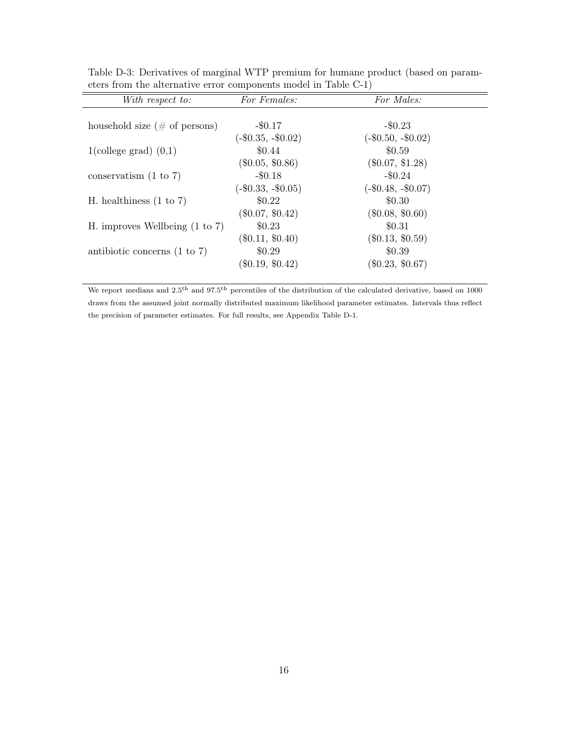| With respect to:                          | For Females:         | For Males:           |
|-------------------------------------------|----------------------|----------------------|
|                                           |                      |                      |
| household size $(\# \text{ of persons})$  | $-$ \$0.17           | $-\$0.23$            |
|                                           | $(-\$0.35, -\$0.02)$ | $(-\$0.50, -\$0.02)$ |
| $1$ (college grad) $(0,1)$                | \$0.44               | \$0.59               |
|                                           | $(\$0.05, \$0.86)$   | $(\$0.07, \$1.28)$   |
| conservatism $(1 \text{ to } 7)$          | $-$0.18$             | $-\$0.24$            |
|                                           | $(-\$0.33, -\$0.05)$ | $(-\$0.48, -\$0.07)$ |
| H. healthiness $(1 \text{ to } 7)$        | \$0.22\$             | \$0.30               |
|                                           | $(\$0.07, \$0.42)$   | $(\$0.08, \$0.60)$   |
| H. improves Wellbeing $(1 \text{ to } 7)$ | \$0.23               | \$0.31               |
|                                           | $(\$0.11, \$0.40)$   | $(\$0.13, \$0.59)$   |
| antibiotic concerns $(1 \text{ to } 7)$   | \$0.29               | \$0.39               |
|                                           | $(\$0.19, \$0.42)$   | $(\$0.23, \$0.67)$   |
|                                           |                      |                      |

Table D-3: Derivatives of marginal WTP premium for humane product (based on parameters from the alternative error components model in Table C-1)

 $\overline{a}$ 

We report medians and  $2.5$ <sup>th</sup> and  $97.5$ <sup>th</sup> percentiles of the distribution of the calculated derivative, based on 1000 draws from the assumed joint normally distributed maximum likelihood parameter estimates. Intervals thus reflect the precision of parameter estimates. For full results, see Appendix Table D-1.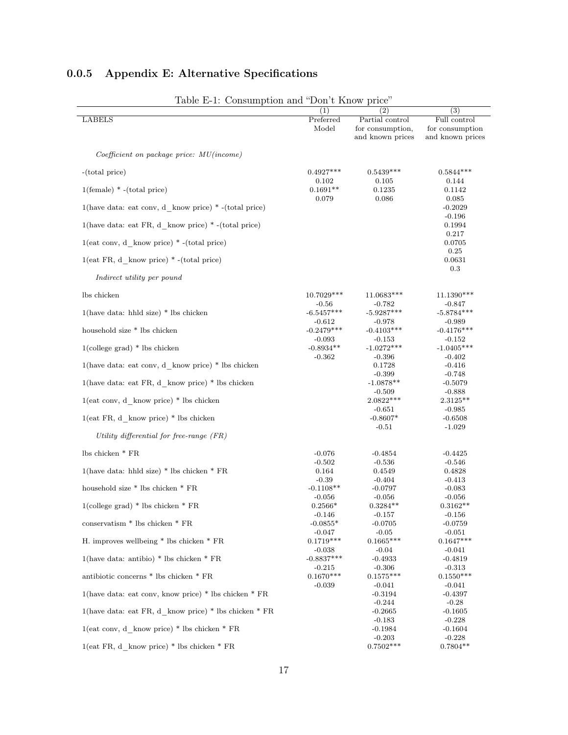| Table E-1: Consumption and "Don't Know price"              | (1)                      | (2)                                                     | $\overline{(3)}$                                    |
|------------------------------------------------------------|--------------------------|---------------------------------------------------------|-----------------------------------------------------|
| <b>LABELS</b>                                              | Preferred<br>Model       | Partial control<br>for consumption,<br>and known prices | Full control<br>for consumption<br>and known prices |
| $Coefficient on package price: MU(income)$                 |                          |                                                         |                                                     |
| $-(total price)$                                           | $0.4927***$              | $0.5439***$                                             | $0.5844***$                                         |
| $1$ (female) $*$ -(total price)                            | 0.102<br>$0.1691**$      | 0.105<br>0.1235                                         | 0.144<br>0.1142                                     |
| $1$ (have data: eat conv, d know price) * -(total price)   | 0.079                    | 0.086                                                   | 0.085<br>$-0.2029$                                  |
| $1$ (have data: eat FR, d know price) * - (total price)    |                          |                                                         | $-0.196$<br>0.1994                                  |
| $1(eat conv, d_know price) * -(total price)$               |                          |                                                         | 0.217<br>0.0705                                     |
| $1(eat FR, d \; know price) * -(total price)$              |                          |                                                         | 0.25<br>0.0631                                      |
| Indirect utility per pound                                 |                          |                                                         | 0.3                                                 |
| lbs chicken                                                | 10.7029***               | 11.0683***                                              | 11.1390***                                          |
| $1$ (have data: hhld size) * lbs chicken                   | $-0.56$<br>$-6.5457***$  | $-0.782$<br>$-5.9287***$                                | -0.847<br>$-5.8784***$                              |
| household size $*$ lbs chicken                             | $-0.612$<br>$-0.2479***$ | $-0.978$<br>$-0.4103***$                                | $-0.989$<br>$-0.4176***$                            |
| $1$ (college grad) $*$ lbs chicken                         | $-0.093$<br>$-0.8934**$  | $-0.153$<br>$-1.0272***$                                | $-0.152$<br>$-1.0405***$                            |
| $1$ (have data: eat conv, d know price) * lbs chicken      | $-0.362$                 | $-0.396$<br>0.1728                                      | $-0.402$<br>$-0.416$                                |
|                                                            |                          | $-0.399$                                                | $-0.748$                                            |
| $1$ (have data: eat FR, d know price) * lbs chicken        |                          | $-1.0878**$<br>$-0.509$                                 | $-0.5079$<br>$-0.888$                               |
| $1(eat conv, d_know price) * lbs chicken$                  |                          | $2.0822***$<br>$-0.651$                                 | $2.3125**$<br>$-0.985$                              |
| $1(eat FR, d \; know price) * lbs chicken$                 |                          | $-0.8607*$<br>$-0.51$                                   | $-0.6508$<br>$-1.029$                               |
| Utility differential for free-range $(FR)$                 |                          |                                                         |                                                     |
| lbs chicken * FR                                           | $-0.076$                 | $-0.4854$                                               | $-0.4425$                                           |
| 1(have data: hhld size) * lbs chicken * $FR$               | $-0.502$<br>0.164        | $-0.536$<br>0.4549                                      | $-0.546$<br>0.4828                                  |
|                                                            | $-0.39$                  | $-0.404$                                                | $-0.413$                                            |
| household size * lbs chicken * FR                          | $-0.1108**$<br>$-0.056$  | $-0.0797$<br>$-0.056$                                   | $-0.083$<br>$-0.056$                                |
| $1$ (college grad) * lbs chicken * $FR$                    | $0.2566*$                | $0.3284**$                                              | $0.3162**$                                          |
|                                                            | $-0.146$                 | $-0.157$                                                | $-0.156$                                            |
| conservatism * lbs chicken * ${\rm FR}$                    | $-0.0855*$<br>$-0.047$   | $-0.0705$<br>$-0.05$                                    | $-0.0759$<br>$-0.051$                               |
| H. improves well<br>being * lbs chicken * ${\rm FR}$       | $0.1719***$              | $0.1665***$                                             | $0.1647***$                                         |
|                                                            | $-0.038$                 | $-0.04$                                                 | $-0.041$                                            |
| $1$ (have data: antibio) * lbs chicken * FR                | $-0.8837***$             | $-0.4933$                                               | $-0.4819$                                           |
| antibiotic concerns $*$ lbs chicken $*$ FR                 | $-0.215$<br>$0.1670***$  | $-0.306$<br>$0.1575***$                                 | $-0.313$<br>$0.1550***$                             |
|                                                            | $-0.039$                 | $-0.041$                                                | $-0.041$                                            |
| $1$ (have data: eat conv, know price) * lbs chicken * $FR$ |                          | $-0.3194$                                               | $-0.4397$                                           |
|                                                            |                          | $-0.244$                                                | $-0.28$                                             |
| 1(have data: eat FR, d know price) $*$ lbs chicken $*$ FR  |                          | $-0.2665$<br>$-0.183$                                   | $-0.1605$<br>$-0.228$                               |
| $1(eat conv, d \; know price) * lbs chicken * FR$          |                          | $-0.1984$                                               | $-0.1604$                                           |
|                                                            |                          | $-0.203$                                                | $-0.228$                                            |
| $1(eat FR, d \; know price) * lbs chicken * FR$            |                          | $0.7502***$                                             | $0.7804**$                                          |

# 0.0.5 Appendix E: Alternative Specifications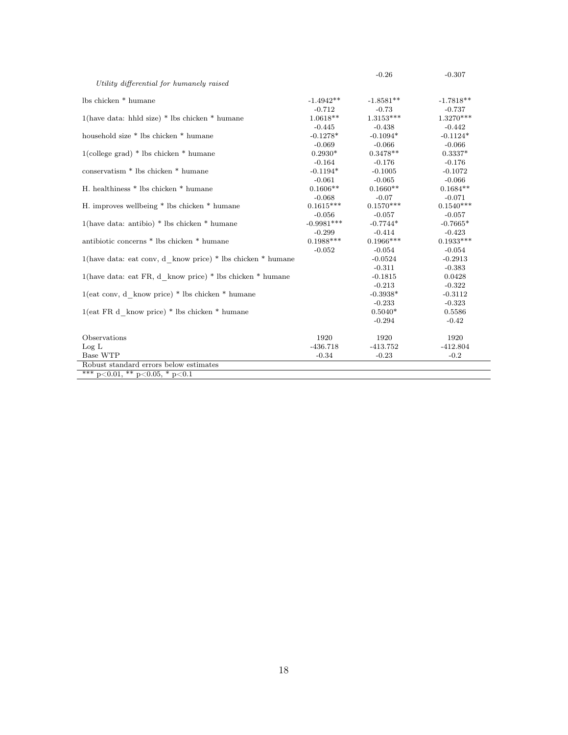|                                                             |              | $-0.26$     | $-0.307$    |
|-------------------------------------------------------------|--------------|-------------|-------------|
| Utility differential for humanely raised                    |              |             |             |
| lbs chicken * humane                                        | $-1.4942**$  | $-1.8581**$ | $-1.7818**$ |
|                                                             | $-0.712$     | $-0.73$     | $-0.737$    |
| $1$ (have data: hhld size) * lbs chicken * humane           | $1.0618**$   | $1.3153***$ | $1.3270***$ |
|                                                             | $-0.445$     | $-0.438$    | $-0.442$    |
|                                                             |              |             |             |
| household size * lbs chicken * humane                       | $-0.1278*$   | $-0.1094*$  | $-0.1124*$  |
|                                                             | $-0.069$     | $-0.066$    | $-0.066$    |
| $1$ (college grad) * lbs chicken * humane                   | $0.2930*$    | $0.3478**$  | $0.3337*$   |
|                                                             | $-0.164$     | $-0.176$    | $-0.176$    |
| conservatism <sup>*</sup> lbs chicken <sup>*</sup> humane   | $-0.1194*$   | $-0.1005$   | $-0.1072$   |
|                                                             | $-0.061$     | $-0.065$    | $-0.066$    |
| H. healthiness * lbs chicken * humane                       | $0.1606**$   | $0.1660**$  | $0.1684**$  |
|                                                             | $-0.068$     | $-0.07$     | $-0.071$    |
| H. improves wellbeing * lbs chicken * humane                | $0.1615***$  | $0.1570***$ | $0.1540***$ |
|                                                             | $-0.056$     | $-0.057$    | $-0.057$    |
| $1$ (have data: antibio) * lbs chicken * humane             | $-0.9981***$ | $-0.7744*$  | $-0.7665*$  |
|                                                             | $-0.299$     | $-0.414$    | $-0.423$    |
| antibiotic concerns * lbs chicken * humane                  | $0.1988***$  | $0.1966***$ | $0.1933***$ |
|                                                             | $-0.052$     | $-0.054$    | $-0.054$    |
| 1(have data: eat conv, d know price) * lbs chicken * humane |              | $-0.0524$   | $-0.2913$   |
|                                                             |              | $-0.311$    | $-0.383$    |
| 1(have data: eat FR, d_know price) * lbs chicken * humane   |              | $-0.1815$   | 0.0428      |
|                                                             |              | $-0.213$    | $-0.322$    |
| $1(eat conv, d \; know price) * lbs chicken * humane$       |              | $-0.3938*$  | $-0.3112$   |
|                                                             |              | $-0.233$    | $-0.323$    |
| $1(eat FR d \; know price) * lbs chicken * humane$          |              | $0.5040*$   | 0.5586      |
|                                                             |              | $-0.294$    | $-0.42$     |
|                                                             |              |             |             |
| Observations                                                | 1920         | 1920        | 1920        |
| Log L                                                       | $-436.718$   | $-413.752$  | $-412.804$  |
| Base WTP                                                    | $-0.34$      | $-0.23$     | $-0.2$      |
| Robust standard errors below estimates                      |              |             |             |
| *** $p<0.01$ , ** $p<0.05$ , * $p<0.1$                      |              |             |             |

L,

 $\overline{a}$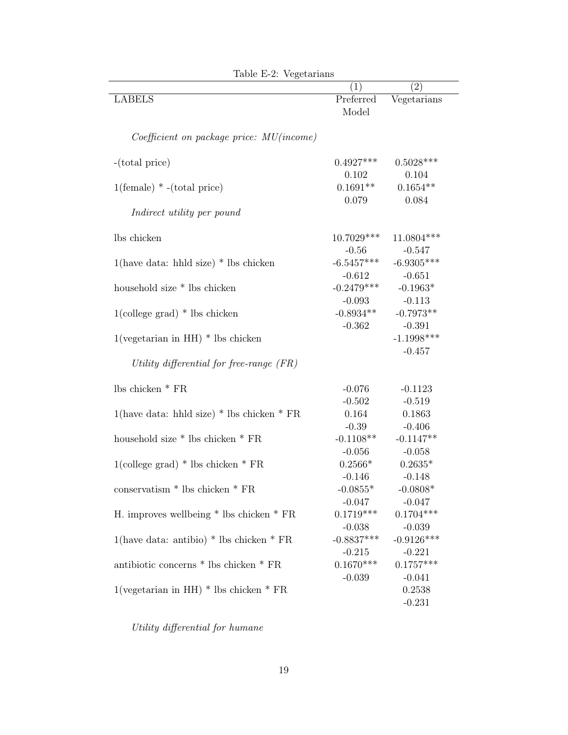|                                                   | (1)                                | $\left( 2\right)$              |
|---------------------------------------------------|------------------------------------|--------------------------------|
| <b>LABELS</b>                                     | Preferred<br>Model                 | Vegetarians                    |
| $Coefficient\ on\ package\ price: \ MU(income)$   |                                    |                                |
| -(total price)                                    | $0.4927***$<br>0.102               | $0.5028***$<br>0.104           |
| $1(\text{female}) * -(total price)$               | $0.1691**$<br>0.079                | $0.1654**$<br>0.084            |
| Indirect utility per pound                        |                                    |                                |
| lbs chicken                                       | $10.7029***$<br>$-0.56$            | 11.0804 ***<br>$-0.547$        |
| $1$ (have data: hhld size) * lbs chicken          | $-6.5457***$<br>$-0.612$           | $-6.9305***$<br>$-0.651$       |
| household size * lbs chicken                      | $-0.2479***$<br>$-0.093$           | $-0.1963*$<br>$-0.113$         |
| $1$ (college grad) $*$ lbs chicken                | $-0.8934**$<br>$-0.362$            | $-0.7973**$<br>$-0.391$        |
| $1(\text{vegetarian in HH})$ * lbs chicken        |                                    | $-1.1998***$<br>$-0.457$       |
| Utility differential for free-range $(FR)$        |                                    |                                |
| lbs chicken $*$ FR                                | $-0.076$                           | $-0.1123$                      |
| 1(have data: hhld size) * lbs chicken * $FR$      | $-0.502$<br>$\,0.164\,$<br>$-0.39$ | $-0.519$<br>0.1863<br>$-0.406$ |
| household size * lbs chicken * FR                 | $-0.1108**$<br>$-0.056$            | $-0.1147**$<br>$-0.058$        |
| $1$ (college grad) * lbs chicken * FR             | $0.2566*$<br>$-0.146$              | $0.2635*$<br>$-0.148$          |
| $\frac{1}{2}$ conservatism $*$ lbs chicken $*$ FR | $-0.0855*$<br>$-0.047$             | $-0.0808*$<br>$-0.047$         |
| H. improves wellbeing $*$ lbs chicken $*$ FR      | $0.1719***$<br>$-0.038$            | $0.1704***$<br>$-0.039$        |
| 1(have data: antibio) $*$ lbs chicken $*$ FR      | $-0.8837***$<br>$-0.215$           | $-0.9126***$<br>$-0.221$       |
| antibiotic concerns $*$ lbs chicken $*$ FR        | $0.1670***$                        | $0.1757***$                    |
| 1(vegetarian in HH) $*$ lbs chicken $*$ FR        | $-0.039$                           | $-0.041$<br>0.2538<br>$-0.231$ |

Table E-2: Vegetarians

Utility differential for humane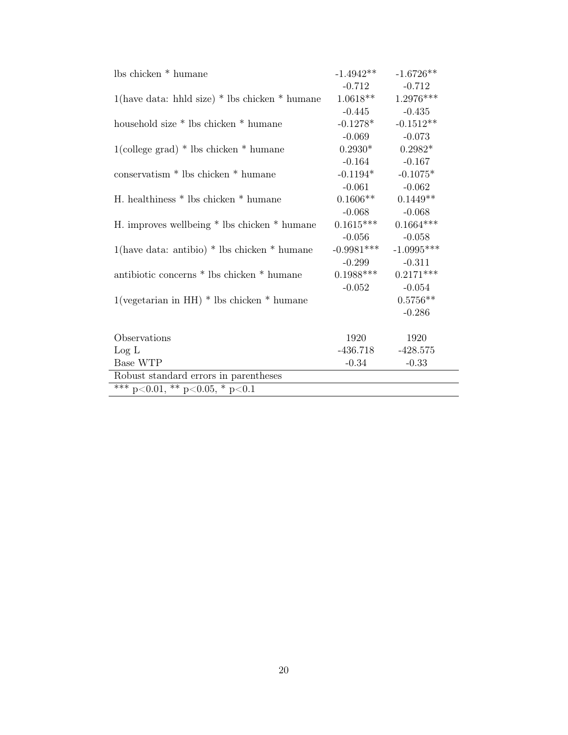| lbs chicken * humane                                             | $-1.4942**$  | $-1.6726**$  |  |  |  |
|------------------------------------------------------------------|--------------|--------------|--|--|--|
|                                                                  | $-0.712$     | $-0.712$     |  |  |  |
| $1$ (have data: hhld size) * lbs chicken * humane                | $1.0618**$   | $1.2976***$  |  |  |  |
|                                                                  | $-0.445$     | $-0.435$     |  |  |  |
| household size * lbs chicken * humane                            | $-0.1278*$   | $-0.1512**$  |  |  |  |
|                                                                  | $-0.069$     | $-0.073$     |  |  |  |
| $1$ (college grad) * lbs chicken * humane                        | $0.2930*$    | $0.2982*$    |  |  |  |
|                                                                  | $-0.164$     | $-0.167$     |  |  |  |
| conservatism <sup>*</sup> lbs chicken <sup>*</sup> humane        | $-0.1194*$   | $-0.1075*$   |  |  |  |
|                                                                  | $-0.061$     | $-0.062$     |  |  |  |
| H. healthiness * lbs chicken * humane                            | $0.1606**$   | $0.1449**$   |  |  |  |
|                                                                  | $-0.068$     | $-0.068$     |  |  |  |
| H. improves wellbeing * lbs chicken * humane                     | $0.1615***$  | $0.1664***$  |  |  |  |
|                                                                  | $-0.056$     | $-0.058$     |  |  |  |
| $1$ (have data: antibio) * lbs chicken * humane                  | $-0.9981***$ | $-1.0995***$ |  |  |  |
|                                                                  | $-0.299$     | $-0.311$     |  |  |  |
| antibiotic concerns * lbs chicken * humane                       | $0.1988***$  | $0.2171***$  |  |  |  |
|                                                                  | $-0.052$     | $-0.054$     |  |  |  |
| $1(\text{vegetarian in HH}) * \text{lbs chicken} * \text{human}$ |              | $0.5756**$   |  |  |  |
|                                                                  |              | $-0.286$     |  |  |  |
|                                                                  |              |              |  |  |  |
| Observations                                                     | 1920         | 1920         |  |  |  |
| Log L                                                            | -436.718     | $-428.575$   |  |  |  |
| Base WTP                                                         | $-0.34$      | $-0.33$      |  |  |  |
| Robust standard errors in parentheses                            |              |              |  |  |  |
| *** $p<0.01$ , ** $p<0.05$ , * $p<0.1$                           |              |              |  |  |  |

 $\overline{a}$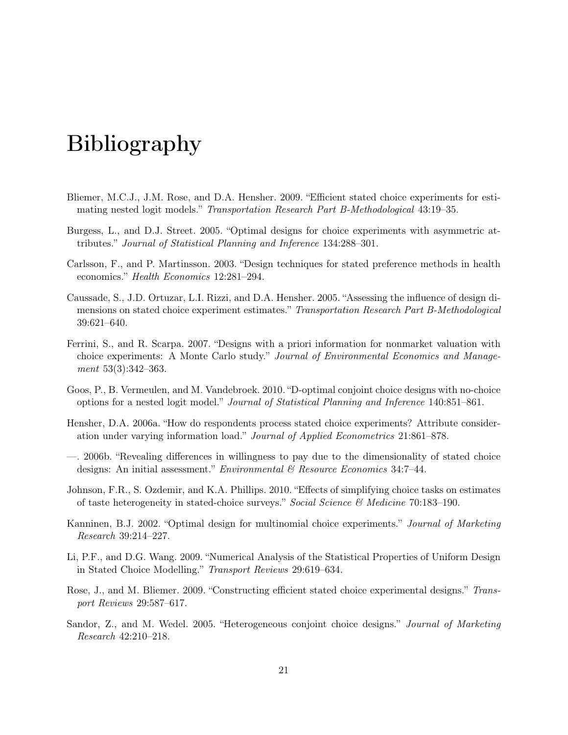# Bibliography

- <span id="page-20-4"></span>Bliemer, M.C.J., J.M. Rose, and D.A. Hensher. 2009. "Efficient stated choice experiments for estimating nested logit models." Transportation Research Part B-Methodological 43:19–35.
- <span id="page-20-10"></span>Burgess, L., and D.J. Street. 2005. "Optimal designs for choice experiments with asymmetric attributes." Journal of Statistical Planning and Inference 134:288–301.
- <span id="page-20-9"></span>Carlsson, F., and P. Martinsson. 2003. "Design techniques for stated preference methods in health economics." Health Economics 12:281–294.
- <span id="page-20-11"></span>Caussade, S., J.D. Ortuzar, L.I. Rizzi, and D.A. Hensher. 2005. "Assessing the influence of design dimensions on stated choice experiment estimates." Transportation Research Part B-Methodological 39:621–640.
- <span id="page-20-2"></span>Ferrini, S., and R. Scarpa. 2007. "Designs with a priori information for nonmarket valuation with choice experiments: A Monte Carlo study." Journal of Environmental Economics and Management 53(3):342–363.
- <span id="page-20-7"></span>Goos, P., B. Vermeulen, and M. Vandebroek. 2010. "D-optimal conjoint choice designs with no-choice options for a nested logit model." Journal of Statistical Planning and Inference 140:851–861.
- <span id="page-20-0"></span>Hensher, D.A. 2006a. "How do respondents process stated choice experiments? Attribute consideration under varying information load." Journal of Applied Econometrics 21:861–878.
- <span id="page-20-1"></span>—. 2006b. "Revealing differences in willingness to pay due to the dimensionality of stated choice designs: An initial assessment." Environmental & Resource Economics 34:7-44.
- <span id="page-20-6"></span>Johnson, F.R., S. Ozdemir, and K.A. Phillips. 2010. "Effects of simplifying choice tasks on estimates of taste heterogeneity in stated-choice surveys." Social Science & Medicine 70:183–190.
- <span id="page-20-8"></span>Kanninen, B.J. 2002. "Optimal design for multinomial choice experiments." Journal of Marketing Research 39:214–227.
- <span id="page-20-5"></span>Li, P.F., and D.G. Wang. 2009. "Numerical Analysis of the Statistical Properties of Uniform Design in Stated Choice Modelling." Transport Reviews 29:619–634.
- <span id="page-20-3"></span>Rose, J., and M. Bliemer. 2009. "Constructing efficient stated choice experimental designs." Transport Reviews 29:587–617.
- <span id="page-20-12"></span>Sandor, Z., and M. Wedel. 2005. "Heterogeneous conjoint choice designs." Journal of Marketing Research 42:210–218.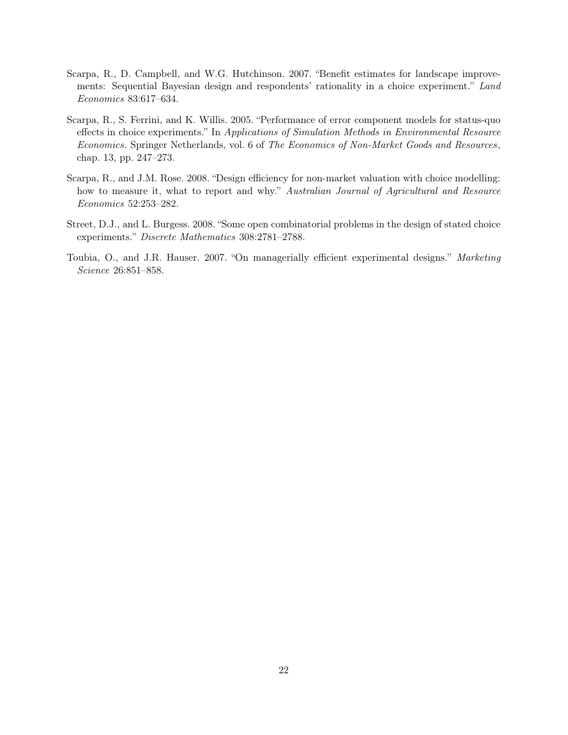- <span id="page-21-1"></span>Scarpa, R., D. Campbell, and W.G. Hutchinson. 2007. "Benefit estimates for landscape improvements: Sequential Bayesian design and respondents' rationality in a choice experiment." Land Economics 83:617–634.
- <span id="page-21-4"></span>Scarpa, R., S. Ferrini, and K. Willis. 2005. "Performance of error component models for status-quo effects in choice experiments." In Applications of Simulation Methods in Environmental Resource Economics. Springer Netherlands, vol. 6 of The Economics of Non-Market Goods and Resources, chap. 13, pp. 247–273.
- <span id="page-21-2"></span>Scarpa, R., and J.M. Rose. 2008. "Design efficiency for non-market valuation with choice modelling: how to measure it, what to report and why." Australian Journal of Agricultural and Resource Economics 52:253–282.
- <span id="page-21-3"></span>Street, D.J., and L. Burgess. 2008. "Some open combinatorial problems in the design of stated choice experiments." Discrete Mathematics 308:2781–2788.
- <span id="page-21-0"></span>Toubia, O., and J.R. Hauser. 2007. "On managerially efficient experimental designs." Marketing Science 26:851–858.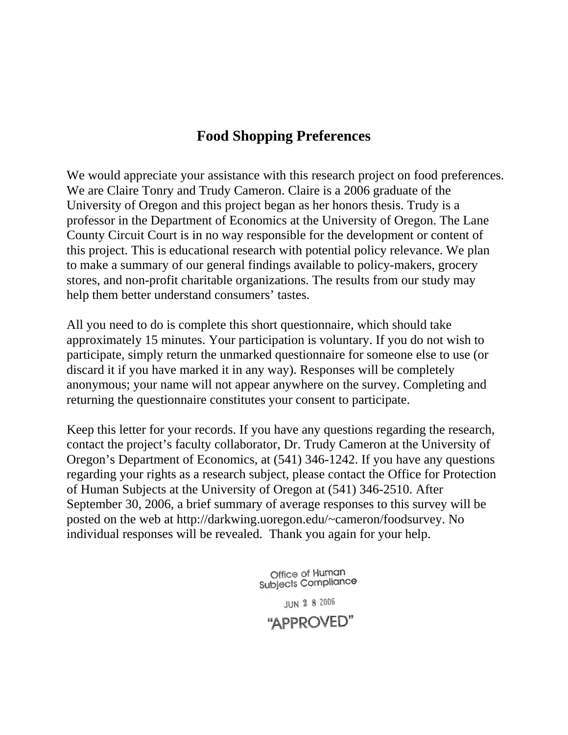# **Food Shopping Preferences**

We would appreciate your assistance with this research project on food preferences. We are Claire Tonry and Trudy Cameron. Claire is a 2006 graduate of the University of Oregon and this project began as her honors thesis. Trudy is a professor in the Department of Economics at the University of Oregon. The Lane County Circuit Court is in no way responsible for the development or content of this project. This is educational research with potential policy relevance. We plan to make a summary of our general findings available to policy-makers, grocery stores, and non-profit charitable organizations. The results from our study may help them better understand consumers' tastes.

All you need to do is complete this short questionnaire, which should take approximately 15 minutes. Your participation is voluntary. If you do not wish to participate, simply return the unmarked questionnaire for someone else to use (or discard it if you have marked it in any way). Responses will be completely anonymous; your name will not appear anywhere on the survey. Completing and returning the questionnaire constitutes your consent to participate.

Keep this letter for your records. If you have any questions regarding the research, contact the project's faculty collaborator, Dr. Trudy Cameron at the University of Oregon's Department of Economics, at (541) 346-1242. If you have any questions regarding your rights as a research subject, please contact the Office for Protection of Human Subjects at the University of Oregon at (541) 346-2510. After September 30, 2006, a brief summary of average responses to this survey will be posted on the web at http://darkwing.uoregon.edu/~cameron/foodsurvey. No individual responses will be revealed. Thank you again for your help.

> Office of Human Subjects Compliance

**JUN 2 8 2006** "APPROVED"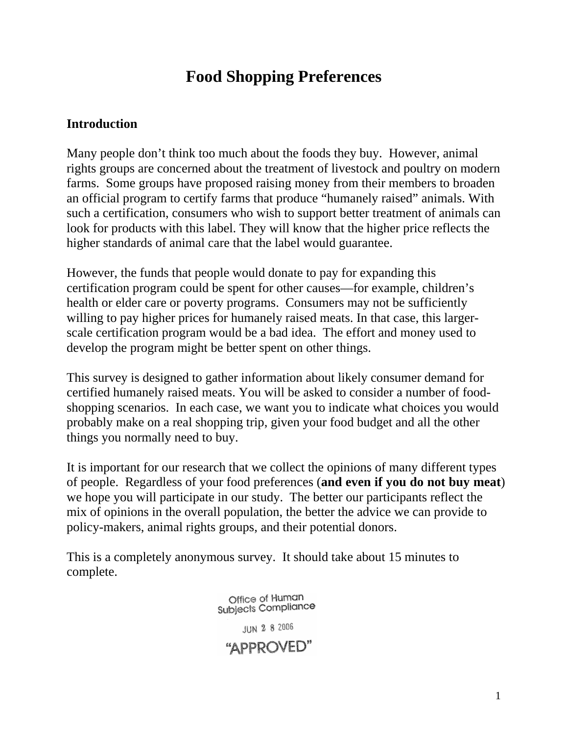# **Food Shopping Preferences**

## **Introduction**

Many people don't think too much about the foods they buy. However, animal rights groups are concerned about the treatment of livestock and poultry on modern farms. Some groups have proposed raising money from their members to broaden an official program to certify farms that produce "humanely raised" animals. With such a certification, consumers who wish to support better treatment of animals can look for products with this label. They will know that the higher price reflects the higher standards of animal care that the label would guarantee.

However, the funds that people would donate to pay for expanding this certification program could be spent for other causes—for example, children's health or elder care or poverty programs. Consumers may not be sufficiently willing to pay higher prices for humanely raised meats. In that case, this largerscale certification program would be a bad idea. The effort and money used to develop the program might be better spent on other things.

This survey is designed to gather information about likely consumer demand for certified humanely raised meats. You will be asked to consider a number of foodshopping scenarios. In each case, we want you to indicate what choices you would probably make on a real shopping trip, given your food budget and all the other things you normally need to buy.

It is important for our research that we collect the opinions of many different types of people. Regardless of your food preferences (**and even if you do not buy meat**) we hope you will participate in our study. The better our participants reflect the mix of opinions in the overall population, the better the advice we can provide to policy-makers, animal rights groups, and their potential donors.

This is a completely anonymous survey. It should take about 15 minutes to complete.

> Office of Human Subjects Compliance JUN 2 8 2006 "APPROVED"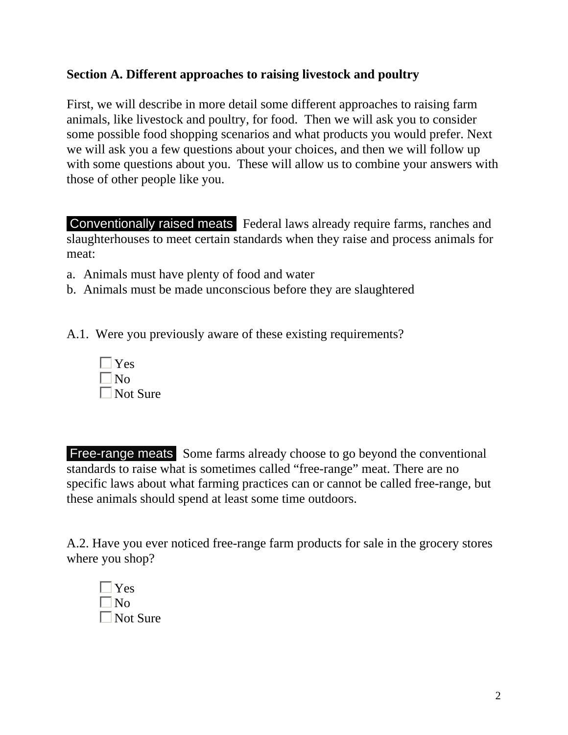## **Section A. Different approaches to raising livestock and poultry**

First, we will describe in more detail some different approaches to raising farm animals, like livestock and poultry, for food. Then we will ask you to consider some possible food shopping scenarios and what products you would prefer. Next we will ask you a few questions about your choices, and then we will follow up with some questions about you. These will allow us to combine your answers with those of other people like you.

Conventionally raised meats Federal laws already require farms, ranches and slaughterhouses to meet certain standards when they raise and process animals for meat:

- a. Animals must have plenty of food and water
- b. Animals must be made unconscious before they are slaughtered
- A.1. Were you previously aware of these existing requirements?



Free-range meats Some farms already choose to go beyond the conventional standards to raise what is sometimes called "free-range" meat. There are no specific laws about what farming practices can or cannot be called free-range, but these animals should spend at least some time outdoors.

A.2. Have you ever noticed free-range farm products for sale in the grocery stores where you shop?

| Yes      |
|----------|
| Nο       |
| Not Sure |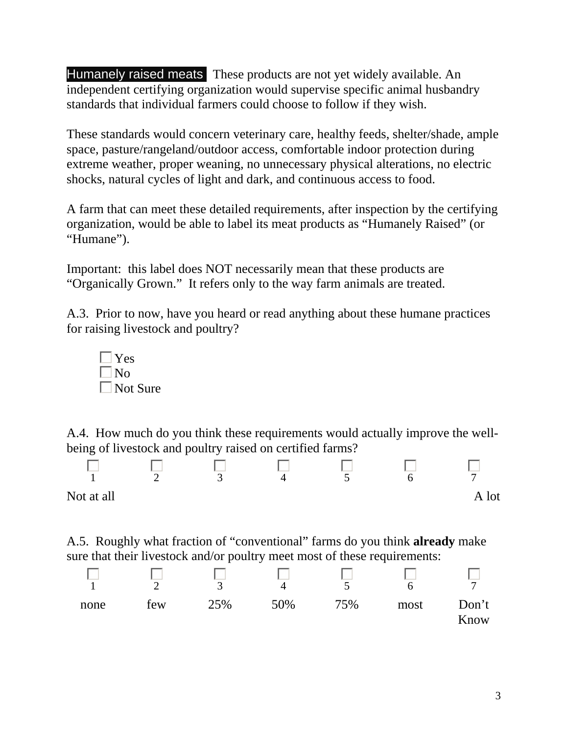Humanely raised meats These products are not yet widely available. An independent certifying organization would supervise specific animal husbandry standards that individual farmers could choose to follow if they wish.

These standards would concern veterinary care, healthy feeds, shelter/shade, ample space, pasture/rangeland/outdoor access, comfortable indoor protection during extreme weather, proper weaning, no unnecessary physical alterations, no electric shocks, natural cycles of light and dark, and continuous access to food.

A farm that can meet these detailed requirements, after inspection by the certifying organization, would be able to label its meat products as "Humanely Raised" (or "Humane").

Important: this label does NOT necessarily mean that these products are "Organically Grown." It refers only to the way farm animals are treated.

A.3. Prior to now, have you heard or read anything about these humane practices for raising livestock and poultry?



A.4. How much do you think these requirements would actually improve the wellbeing of livestock and poultry raised on certified farms?



A.5. Roughly what fraction of "conventional" farms do you think **already** make sure that their livestock and/or poultry meet most of these requirements:

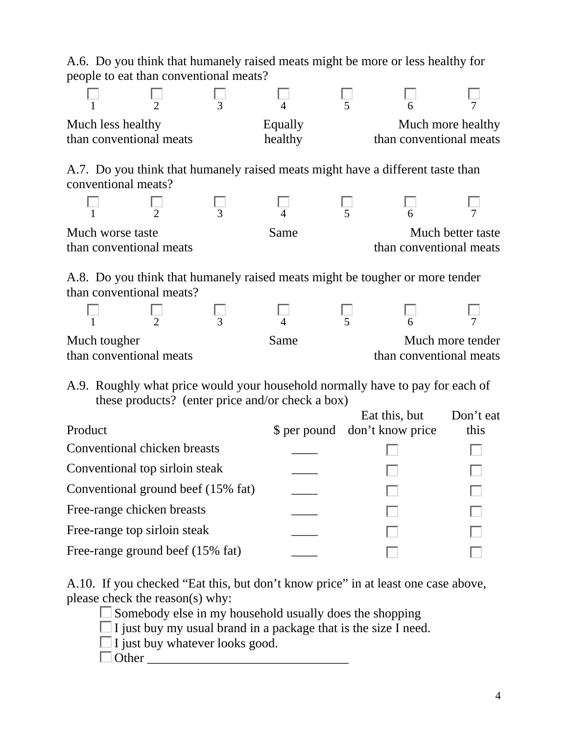|                                                                                                                                                |                |                                        |                | A.6. Do you think that humanely raised meats might be more or less healthy for |                   |
|------------------------------------------------------------------------------------------------------------------------------------------------|----------------|----------------------------------------|----------------|--------------------------------------------------------------------------------|-------------------|
|                                                                                                                                                |                | people to eat than conventional meats? |                |                                                                                |                   |
|                                                                                                                                                | $\overline{2}$ | 3                                      |                | 5                                                                              |                   |
| Much less healthy                                                                                                                              |                |                                        | Equally        |                                                                                | Much more healthy |
| than conventional meats                                                                                                                        |                |                                        | healthy        | than conventional meats                                                        |                   |
| conventional meats?                                                                                                                            |                |                                        |                | A.7. Do you think that humanely raised meats might have a different taste than |                   |
|                                                                                                                                                | $\overline{2}$ | 3                                      | $\overline{4}$ | 5                                                                              |                   |
| Much worse taste<br>than conventional meats                                                                                                    |                |                                        | Same           | than conventional meats                                                        | Much better taste |
| A.8. Do you think that humanely raised meats might be tougher or more tender<br>than conventional meats?                                       |                |                                        |                |                                                                                |                   |
|                                                                                                                                                | $\overline{2}$ |                                        |                |                                                                                |                   |
| Much tougher                                                                                                                                   |                |                                        | Same           |                                                                                | Much more tender  |
| than conventional meats                                                                                                                        |                |                                        |                | than conventional meats                                                        |                   |
| A.9. Roughly what price would your household normally have to pay for each of<br>these products? (enter price and/or check a box)<br>Don't eat |                |                                        |                |                                                                                |                   |
| Product                                                                                                                                        |                |                                        |                | Eat this, but<br>\$ per pound don't know price                                 | this              |
| Conventional chicken breasts                                                                                                                   |                |                                        |                |                                                                                |                   |
| Conventional top sirloin steak                                                                                                                 |                |                                        |                |                                                                                |                   |
| Conventional ground beef (15% fat)                                                                                                             |                |                                        |                |                                                                                |                   |
| Free-range chicken breasts                                                                                                                     |                |                                        |                |                                                                                |                   |
| Free-range top sirloin steak                                                                                                                   |                |                                        |                |                                                                                |                   |
| Free-range ground beef (15% fat)                                                                                                               |                |                                        |                |                                                                                |                   |

A.10. If you checked "Eat this, but don't know price" in at least one case above, please check the reason(s) why:

 $\square$  Somebody else in my household usually does the shopping

 $\Box$  I just buy my usual brand in a package that is the size I need.

 $\Box$  I just buy whatever looks good.

 $\Box$  Other  $\Box$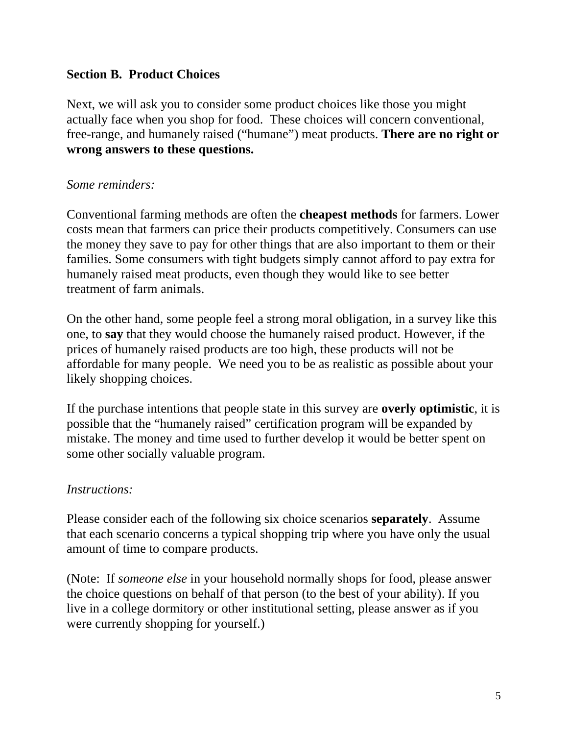## **Section B. Product Choices**

Next, we will ask you to consider some product choices like those you might actually face when you shop for food. These choices will concern conventional, free-range, and humanely raised ("humane") meat products. **There are no right or wrong answers to these questions.**

## *Some reminders:*

Conventional farming methods are often the **cheapest methods** for farmers. Lower costs mean that farmers can price their products competitively. Consumers can use the money they save to pay for other things that are also important to them or their families. Some consumers with tight budgets simply cannot afford to pay extra for humanely raised meat products, even though they would like to see better treatment of farm animals.

On the other hand, some people feel a strong moral obligation, in a survey like this one, to **say** that they would choose the humanely raised product. However, if the prices of humanely raised products are too high, these products will not be affordable for many people. We need you to be as realistic as possible about your likely shopping choices.

If the purchase intentions that people state in this survey are **overly optimistic**, it is possible that the "humanely raised" certification program will be expanded by mistake. The money and time used to further develop it would be better spent on some other socially valuable program.

## *Instructions:*

Please consider each of the following six choice scenarios **separately**. Assume that each scenario concerns a typical shopping trip where you have only the usual amount of time to compare products.

(Note: If *someone else* in your household normally shops for food, please answer the choice questions on behalf of that person (to the best of your ability). If you live in a college dormitory or other institutional setting, please answer as if you were currently shopping for yourself.)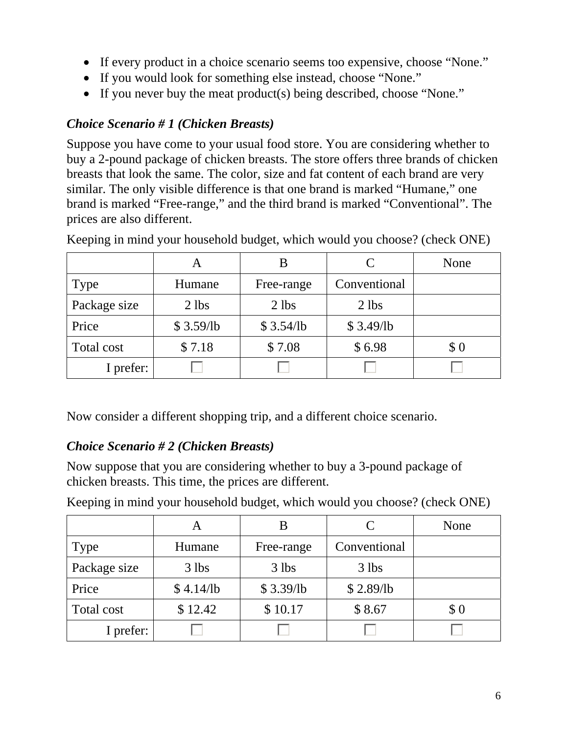- If every product in a choice scenario seems too expensive, choose "None."
- If you would look for something else instead, choose "None."
- If you never buy the meat product(s) being described, choose "None."

# *Choice Scenario # 1 (Chicken Breasts)*

Suppose you have come to your usual food store. You are considering whether to buy a 2-pound package of chicken breasts. The store offers three brands of chicken breasts that look the same. The color, size and fat content of each brand are very similar. The only visible difference is that one brand is marked "Humane," one brand is marked "Free-range," and the third brand is marked "Conventional". The prices are also different.

|              | A         |            |              | None |
|--------------|-----------|------------|--------------|------|
| <b>Type</b>  | Humane    | Free-range | Conventional |      |
| Package size | $2$ lbs   | $2$ lbs    | $2$ lbs      |      |
| Price        | \$3.59/lb | \$3.54/lb  | \$3.49/lb    |      |
| Total cost   | \$7.18    | \$7.08     | \$6.98       | \$0  |
| I prefer:    |           |            |              |      |

Keeping in mind your household budget, which would you choose? (check ONE)

Now consider a different shopping trip, and a different choice scenario.

# *Choice Scenario # 2 (Chicken Breasts)*

Now suppose that you are considering whether to buy a 3-pound package of chicken breasts. This time, the prices are different.

|              | Α         |            | C            | None |
|--------------|-----------|------------|--------------|------|
| Type         | Humane    | Free-range | Conventional |      |
| Package size | $3$ lbs   | $3$ lbs    | $3$ lbs      |      |
| Price        | \$4.14/lb | \$3.39/lb  | \$2.89/lb    |      |
| Total cost   | \$12.42   | \$10.17    | \$8.67       | \$0  |
| I prefer:    |           |            |              |      |

Keeping in mind your household budget, which would you choose? (check ONE)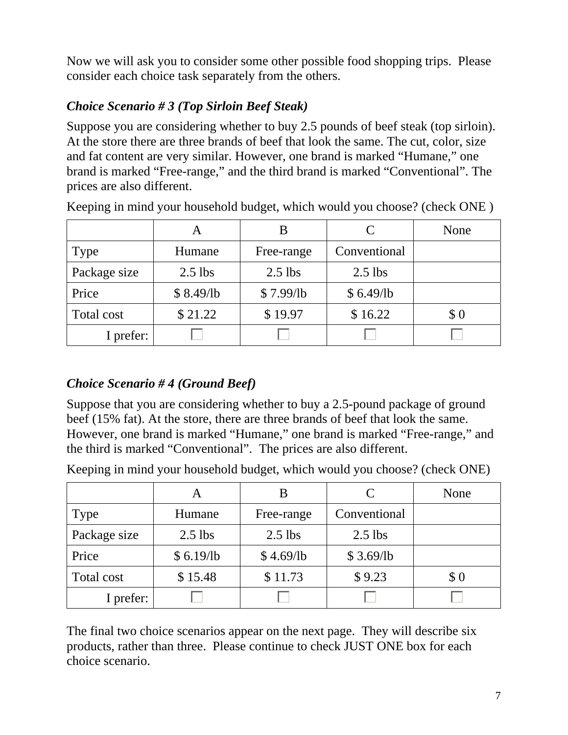Now we will ask you to consider some other possible food shopping trips. Please consider each choice task separately from the others.

# *Choice Scenario # 3 (Top Sirloin Beef Steak)*

Suppose you are considering whether to buy 2.5 pounds of beef steak (top sirloin). At the store there are three brands of beef that look the same. The cut, color, size and fat content are very similar. However, one brand is marked "Humane," one brand is marked "Free-range," and the third brand is marked "Conventional". The prices are also different.

|              | Α         |            | C            | None |
|--------------|-----------|------------|--------------|------|
| <b>Type</b>  | Humane    | Free-range | Conventional |      |
| Package size | $2.5$ lbs | $2.5$ lbs  | $2.5$ lbs    |      |
| Price        | \$8.49/lb | \$7.99/lb  | \$6.49/lb    |      |
| Total cost   | \$21.22   | \$19.97    | \$16.22      | \$0  |
| I prefer:    |           |            |              |      |

Keeping in mind your household budget, which would you choose? (check ONE )

# *Choice Scenario # 4 (Ground Beef)*

Suppose that you are considering whether to buy a 2.5-pound package of ground beef (15% fat). At the store, there are three brands of beef that look the same. However, one brand is marked "Humane," one brand is marked "Free-range," and the third is marked "Conventional". The prices are also different.

Keeping in mind your household budget, which would you choose? (check ONE)

|              | A         |            | C            | None  |
|--------------|-----------|------------|--------------|-------|
| Type         | Humane    | Free-range | Conventional |       |
| Package size | $2.5$ lbs | $2.5$ lbs  | $2.5$ lbs    |       |
| Price        | \$6.19/b  | \$4.69/lb  | \$3.69/lb    |       |
| Total cost   | \$15.48   | \$11.73    | \$9.23       | $\$0$ |
| I prefer:    |           |            |              |       |

The final two choice scenarios appear on the next page. They will describe six products, rather than three. Please continue to check JUST ONE box for each choice scenario.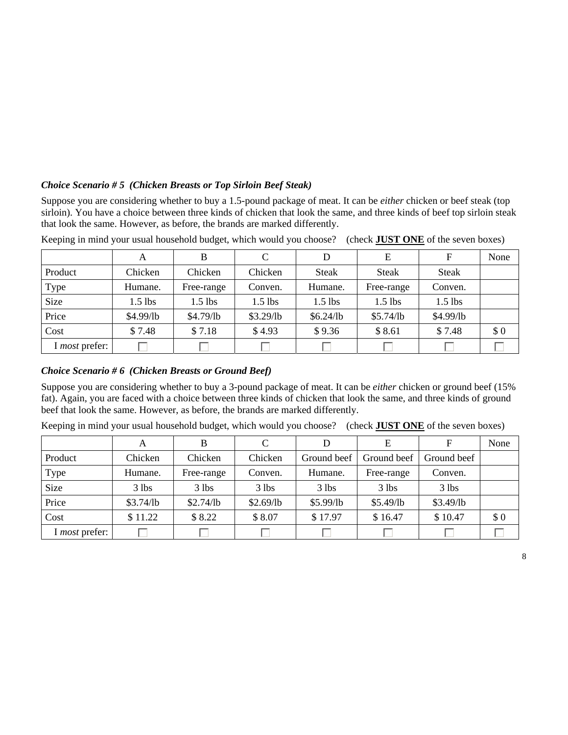## *Choice Scenario # 5 (Chicken Breasts or Top Sirloin Beef Steak)*

Suppose you are considering whether to buy a 1.5-pound package of meat. It can be *either* chicken or beef steak (top sirloin). You have a choice between three kinds of chicken that look the same, and three kinds of beef top sirloin steak that look the same. However, as before, the brands are marked differently.

|                       | А         | B          | C         | D            | E            | F         | None |
|-----------------------|-----------|------------|-----------|--------------|--------------|-----------|------|
| Product               | Chicken   | Chicken    | Chicken   | <b>Steak</b> | <b>Steak</b> | Steak     |      |
| Type                  | Humane.   | Free-range | Conven.   | Humane.      | Free-range   | Conven.   |      |
| <b>Size</b>           | $1.5$ lbs | $1.5$ lbs  | $1.5$ lbs | $1.5$ lbs    | $1.5$ lbs    | $1.5$ lbs |      |
| Price                 | \$4.99/lb | \$4.79/lb  | \$3.29/b  | \$6.24/lb    | \$5.74/lb    | \$4.99/lb |      |
| Cost                  | \$7.48    | \$7.18     | \$4.93    | \$9.36       | \$8.61       | \$7.48    | \$0  |
| I <i>most</i> prefer: |           |            |           |              |              |           |      |

Keeping in mind your usual household budget, which would you choose? (check **JUST ONE** of the seven boxes)

## *Choice Scenario # 6 (Chicken Breasts or Ground Beef)*

Suppose you are considering whether to buy a 3-pound package of meat. It can be *either* chicken or ground beef (15% fat). Again, you are faced with a choice between three kinds of chicken that look the same, and three kinds of ground beef that look the same. However, as before, the brands are marked differently.

Keeping in mind your usual household budget, which would you choose? (check **JUST ONE** of the seven boxes)

|                       | A         | B          | C         | D           | Е           | F           | None |
|-----------------------|-----------|------------|-----------|-------------|-------------|-------------|------|
| Product               | Chicken   | Chicken    | Chicken   | Ground beef | Ground beef | Ground beef |      |
| Type                  | Humane.   | Free-range | Conven.   | Humane.     | Free-range  | Conven.     |      |
| <b>Size</b>           | $3$ lbs   | $3$ lbs    | $3$ lbs   | $3$ lbs     | $3$ lbs     | $3$ lbs     |      |
| Price                 | \$3.74/lb | \$2.74/lb  | \$2.69/lb | \$5.99/lb   | \$5.49/lb   | \$3.49/lb   |      |
| Cost                  | \$11.22   | \$8.22     | \$8.07    | \$17.97     | \$16.47     | \$10.47     | \$0  |
| I <i>most</i> prefer: |           |            |           |             |             |             |      |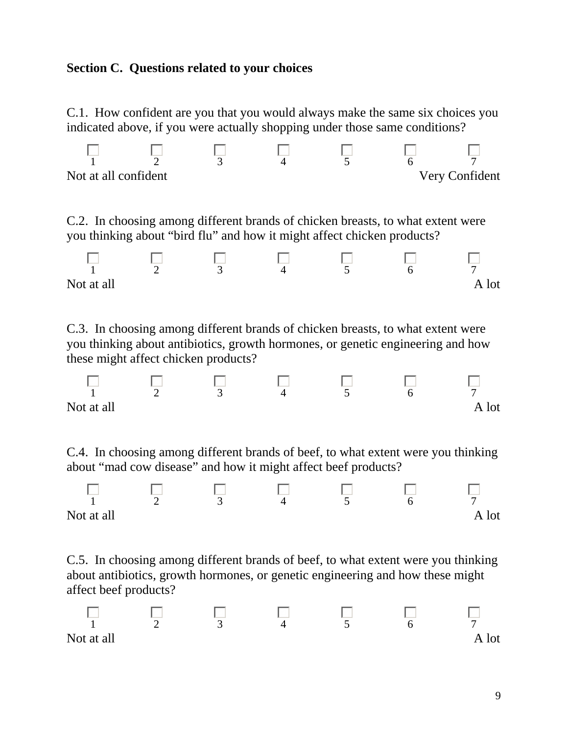## **Section C. Questions related to your choices**

C.1. How confident are you that you would always make the same six choices you indicated above, if you were actually shopping under those same conditions?

| Not at all confident |  |  | Very Confident |
|----------------------|--|--|----------------|

C.2. In choosing among different brands of chicken breasts, to what extent were you thinking about "bird flu" and how it might affect chicken products?



C.3. In choosing among different brands of chicken breasts, to what extent were you thinking about antibiotics, growth hormones, or genetic engineering and how these might affect chicken products?

|            |  |  | −   |
|------------|--|--|-----|
| Not at all |  |  | lot |

C.4. In choosing among different brands of beef, to what extent were you thinking about "mad cow disease" and how it might affect beef products?



C.5. In choosing among different brands of beef, to what extent were you thinking about antibiotics, growth hormones, or genetic engineering and how these might affect beef products?

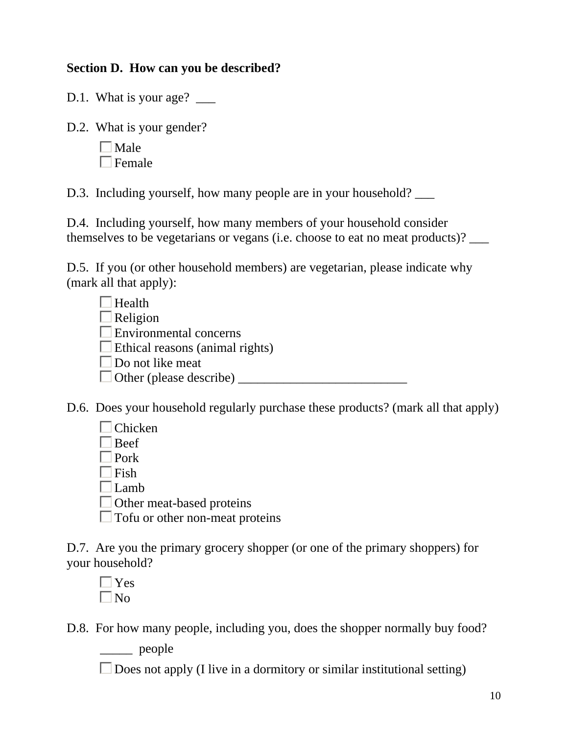## **Section D. How can you be described?**

D.1. What is your age?

D.2. What is your gender?

| Male   |
|--------|
| Female |

D.3. Including yourself, how many people are in your household?

D.4. Including yourself, how many members of your household consider themselves to be vegetarians or vegans (i.e. choose to eat no meat products)? \_\_\_

D.5. If you (or other household members) are vegetarian, please indicate why (mark all that apply):

| Health                                 |  |
|----------------------------------------|--|
| Religion                               |  |
| <b>Environmental concerns</b>          |  |
| $\Box$ Ethical reasons (animal rights) |  |
| $\Box$ Do not like meat                |  |
| $\Box$ Other (please describe)         |  |

D.6. Does your household regularly purchase these products? (mark all that apply)

| Chicken                                |
|----------------------------------------|
| $\Box$ Beef                            |
| $\Box$ Pork                            |
| $\Box$ Fish                            |
| $\Box$ Lamb                            |
| □ Other meat-based proteins            |
| $\Box$ Tofu or other non-meat proteins |
|                                        |

D.7. Are you the primary grocery shopper (or one of the primary shoppers) for your household?

 $\Box$  Yes  $\Box$ No

D.8. For how many people, including you, does the shopper normally buy food?

\_\_\_\_\_ people

 $\Box$  Does not apply (I live in a dormitory or similar institutional setting)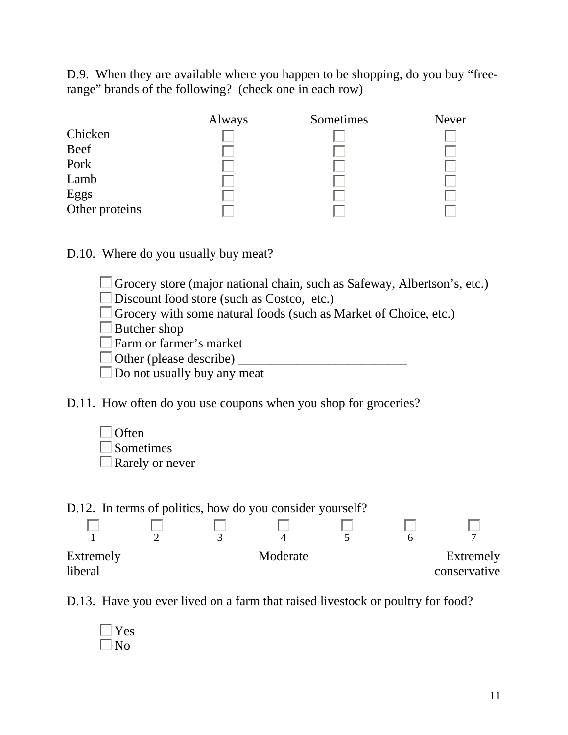D.9. When they are available where you happen to be shopping, do you buy "freerange" brands of the following? (check one in each row)

|                | Always | Sometimes | Never |
|----------------|--------|-----------|-------|
| Chicken        |        |           |       |
| Beef           |        |           |       |
| Port           |        |           |       |
| Lamb           |        |           |       |
| Eggs           |        |           |       |
| Other proteins |        |           |       |

D.10. Where do you usually buy meat?

Grocery store (major national chain, such as Safeway, Albertson's, etc.) Discount food store (such as Costco, etc.) Grocery with some natural foods (such as Market of Choice, etc.)  $\square$  Butcher shop Farm or farmer's market  $\Box$  Other (please describe)  $\Box$  Do not usually buy any meat

D.11. How often do you use coupons when you shop for groceries?



| D.12. In terms of politics, how do you consider yourself? |  |          |  |                           |
|-----------------------------------------------------------|--|----------|--|---------------------------|
|                                                           |  |          |  |                           |
|                                                           |  |          |  |                           |
| Extremely<br><i>liberal</i>                               |  | Moderate |  | Extremely<br>conservative |

D.13. Have you ever lived on a farm that raised livestock or poultry for food?

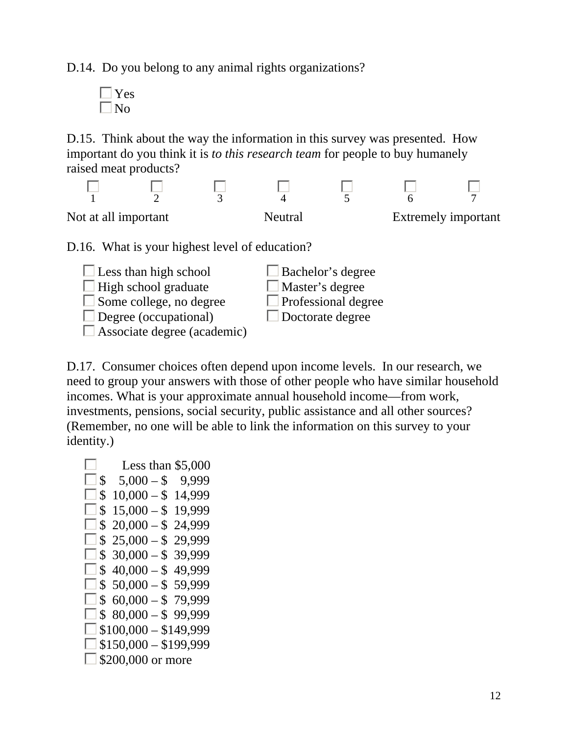D.14. Do you belong to any animal rights organizations?

 $\Box$  Yes  $\Box$  No

D.15. Think about the way the information in this survey was presented. How important do you think it is *to this research team* for people to buy humanely raised meat products?





 $\Box$  Some college, no degree

 $\square$  Associate degree (academic)

 $\Box$  Professional degree Doctorate degree

D.17. Consumer choices often depend upon income levels. In our research, we need to group your answers with those of other people who have similar household incomes. What is your approximate annual household income—from work, investments, pensions, social security, public assistance and all other sources? (Remember, no one will be able to link the information on this survey to your identity.)

 $\Box$  Less than \$5,000  $5,000 - $$  9,999  $\Box$  \$ 10,000 – \$ 14,999  $\Box$  \$ 15,000 – \$ 19,999  $\Box$  \$ 20,000 – \$ 24,999  $\Box$  \$ 25,000 – \$ 29,999  $\Box$  \$ 30,000 – \$ 39,999  $\Box$  \$ 40,000 – \$ 49,999  $\Box$  \$ 50,000 – \$ 59,999  $\Box$  \$ 60,000 – \$ 79,999  $\Box$  \$ 80,000 – \$ 99,999  $\Box$  \$100,000 – \$149,999  $\Box$  \$150,000 – \$199,999  $\Box$  \$200,000 or more